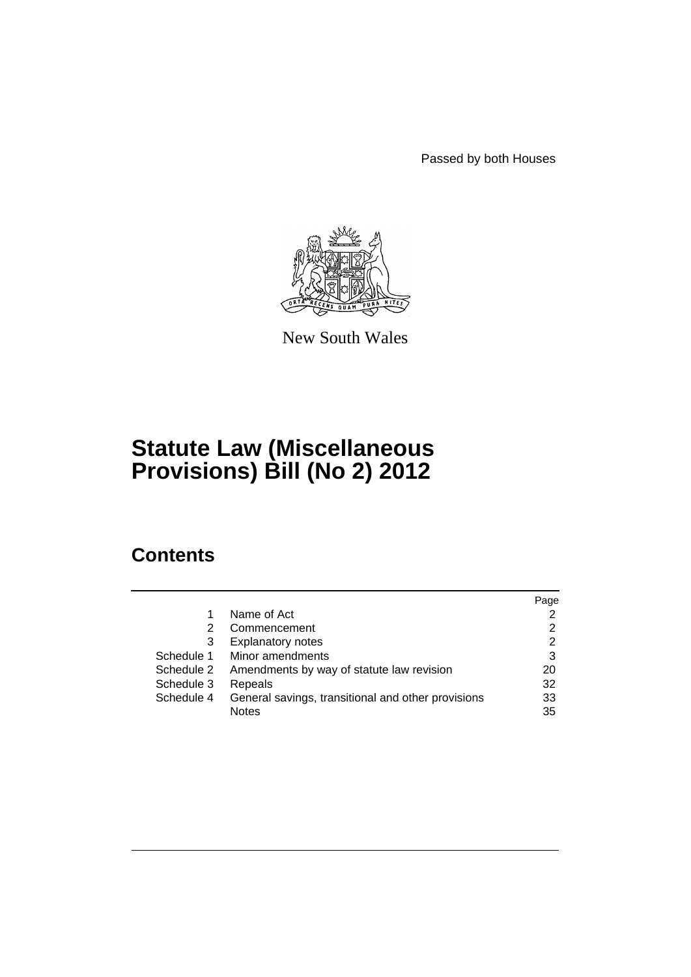Passed by both Houses



New South Wales

# **Statute Law (Miscellaneous Provisions) Bill (No 2) 2012**

## **Contents**

|            |                                                    | Page |
|------------|----------------------------------------------------|------|
|            | Name of Act                                        |      |
| 2          | Commencement                                       | 2    |
| 3          | <b>Explanatory notes</b>                           | 2    |
| Schedule 1 | Minor amendments                                   | 3    |
| Schedule 2 | Amendments by way of statute law revision          | 20   |
| Schedule 3 | Repeals                                            | 32   |
| Schedule 4 | General savings, transitional and other provisions | 33   |
|            | <b>Notes</b>                                       | 35   |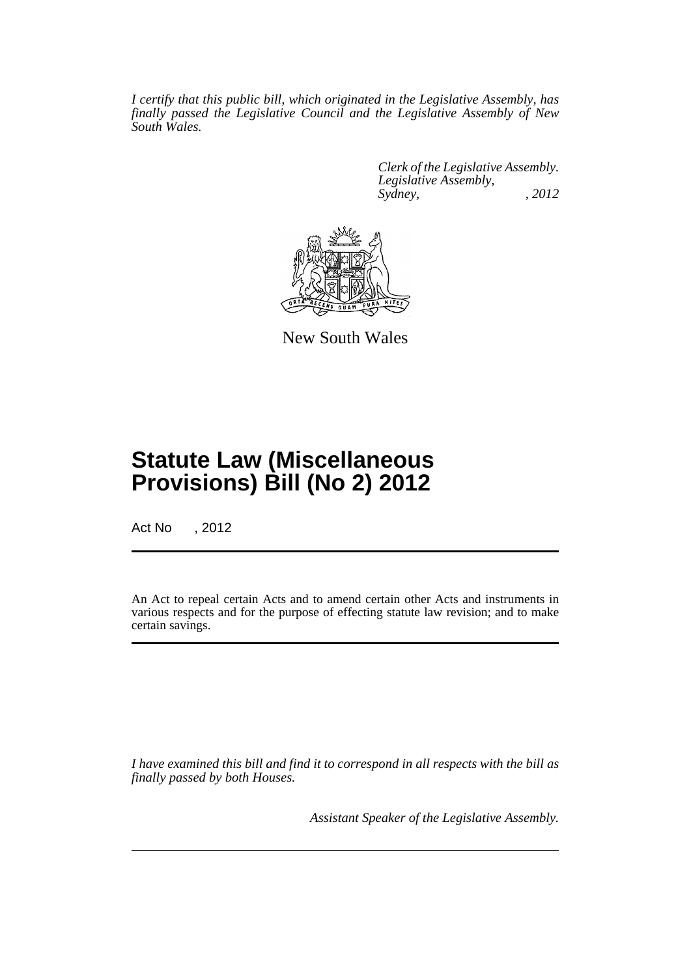*I certify that this public bill, which originated in the Legislative Assembly, has finally passed the Legislative Council and the Legislative Assembly of New South Wales.*

> *Clerk of the Legislative Assembly. Legislative Assembly, Sydney, , 2012*



New South Wales

## **Statute Law (Miscellaneous Provisions) Bill (No 2) 2012**

Act No , 2012

An Act to repeal certain Acts and to amend certain other Acts and instruments in various respects and for the purpose of effecting statute law revision; and to make certain savings.

*I have examined this bill and find it to correspond in all respects with the bill as finally passed by both Houses.*

*Assistant Speaker of the Legislative Assembly.*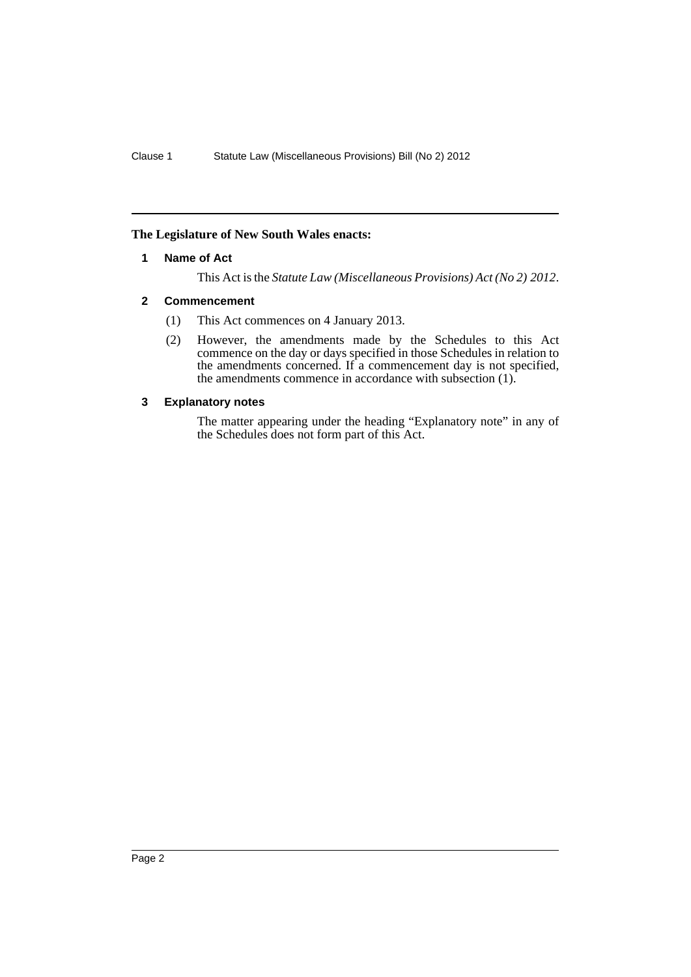### <span id="page-3-0"></span>**The Legislature of New South Wales enacts:**

#### **1 Name of Act**

This Act is the *Statute Law (Miscellaneous Provisions) Act (No 2) 2012*.

### <span id="page-3-1"></span>**2 Commencement**

- (1) This Act commences on 4 January 2013.
- (2) However, the amendments made by the Schedules to this Act commence on the day or days specified in those Schedules in relation to the amendments concerned. If a commencement day is not specified, the amendments commence in accordance with subsection (1).

### <span id="page-3-2"></span>**3 Explanatory notes**

The matter appearing under the heading "Explanatory note" in any of the Schedules does not form part of this Act.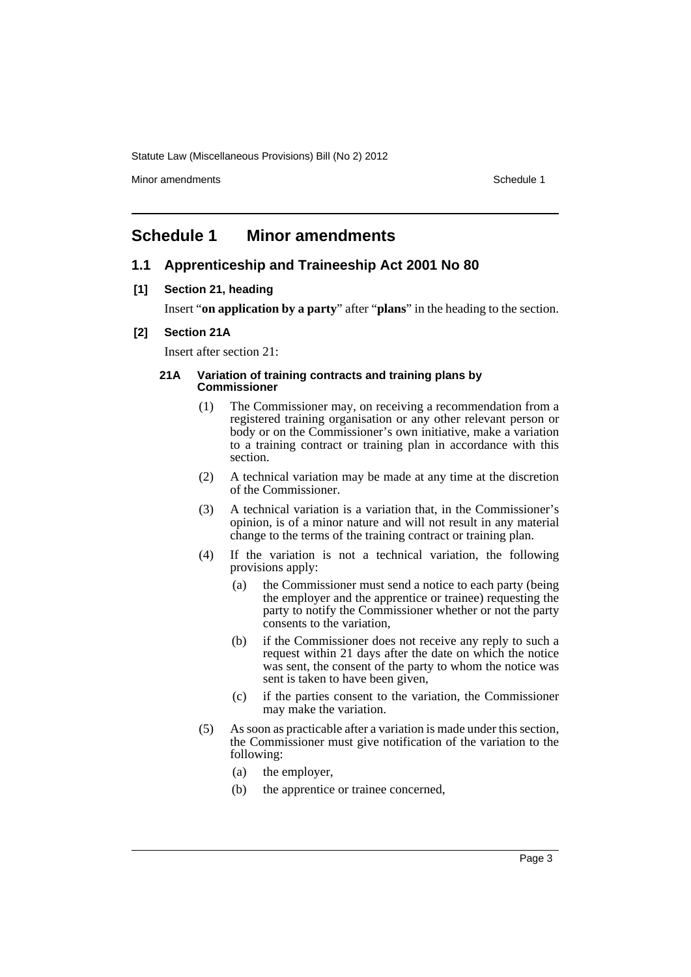Minor amendments **Schedule 1** and the state of the state of the state of the Schedule 1

### <span id="page-4-0"></span>**Schedule 1 Minor amendments**

### **1.1 Apprenticeship and Traineeship Act 2001 No 80**

**[1] Section 21, heading**

Insert "**on application by a party**" after "**plans**" in the heading to the section.

#### **[2] Section 21A**

Insert after section 21:

#### **21A Variation of training contracts and training plans by Commissioner**

- (1) The Commissioner may, on receiving a recommendation from a registered training organisation or any other relevant person or body or on the Commissioner's own initiative, make a variation to a training contract or training plan in accordance with this section.
- (2) A technical variation may be made at any time at the discretion of the Commissioner.
- (3) A technical variation is a variation that, in the Commissioner's opinion, is of a minor nature and will not result in any material change to the terms of the training contract or training plan.
- (4) If the variation is not a technical variation, the following provisions apply:
	- (a) the Commissioner must send a notice to each party (being the employer and the apprentice or trainee) requesting the party to notify the Commissioner whether or not the party consents to the variation,
	- (b) if the Commissioner does not receive any reply to such a request within 21 days after the date on which the notice was sent, the consent of the party to whom the notice was sent is taken to have been given,
	- (c) if the parties consent to the variation, the Commissioner may make the variation.
- (5) As soon as practicable after a variation is made under this section, the Commissioner must give notification of the variation to the following:
	- (a) the employer,
	- (b) the apprentice or trainee concerned,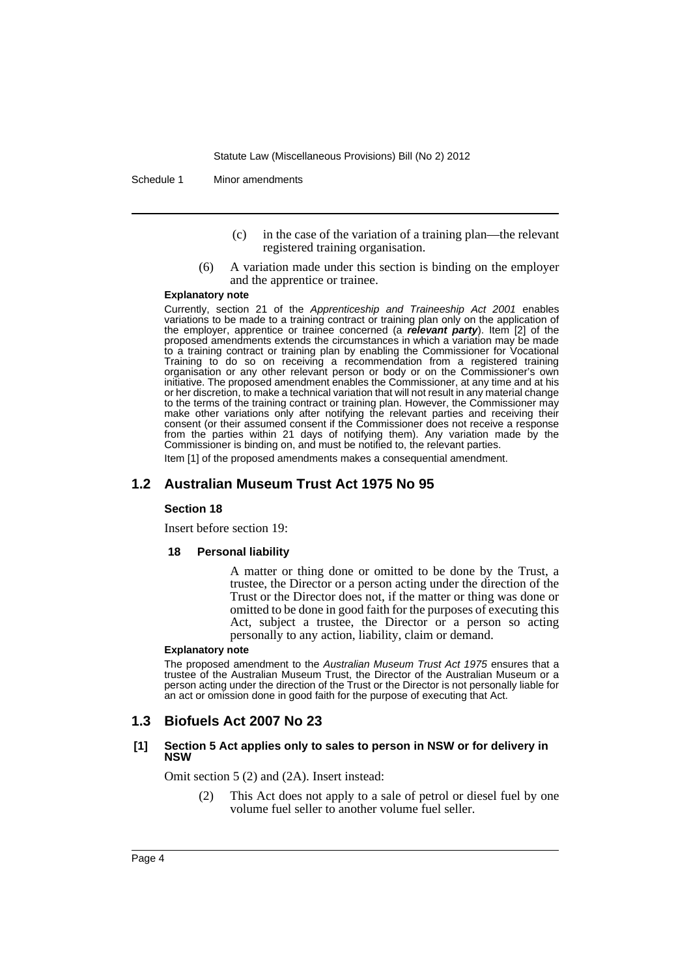Schedule 1 Minor amendments

- (c) in the case of the variation of a training plan—the relevant registered training organisation.
- (6) A variation made under this section is binding on the employer and the apprentice or trainee.

#### **Explanatory note**

Currently, section 21 of the *Apprenticeship and Traineeship Act 2001* enables variations to be made to a training contract or training plan only on the application of the employer, apprentice or trainee concerned (a *relevant party*). Item [2] of the proposed amendments extends the circumstances in which a variation may be made to a training contract or training plan by enabling the Commissioner for Vocational Training to do so on receiving a recommendation from a registered training organisation or any other relevant person or body or on the Commissioner's own initiative. The proposed amendment enables the Commissioner, at any time and at his or her discretion, to make a technical variation that will not result in any material change to the terms of the training contract or training plan. However, the Commissioner may make other variations only after notifying the relevant parties and receiving their consent (or their assumed consent if the Commissioner does not receive a response from the parties within 21 days of notifying them). Any variation made by the Commissioner is binding on, and must be notified to, the relevant parties.

Item [1] of the proposed amendments makes a consequential amendment.

### **1.2 Australian Museum Trust Act 1975 No 95**

#### **Section 18**

Insert before section 19:

#### **18 Personal liability**

A matter or thing done or omitted to be done by the Trust, a trustee, the Director or a person acting under the direction of the Trust or the Director does not, if the matter or thing was done or omitted to be done in good faith for the purposes of executing this Act, subject a trustee, the Director or a person so acting personally to any action, liability, claim or demand.

#### **Explanatory note**

The proposed amendment to the *Australian Museum Trust Act 1975* ensures that a trustee of the Australian Museum Trust, the Director of the Australian Museum or a person acting under the direction of the Trust or the Director is not personally liable for an act or omission done in good faith for the purpose of executing that Act.

### **1.3 Biofuels Act 2007 No 23**

#### **[1] Section 5 Act applies only to sales to person in NSW or for delivery in NSW**

Omit section 5 (2) and (2A). Insert instead:

(2) This Act does not apply to a sale of petrol or diesel fuel by one volume fuel seller to another volume fuel seller.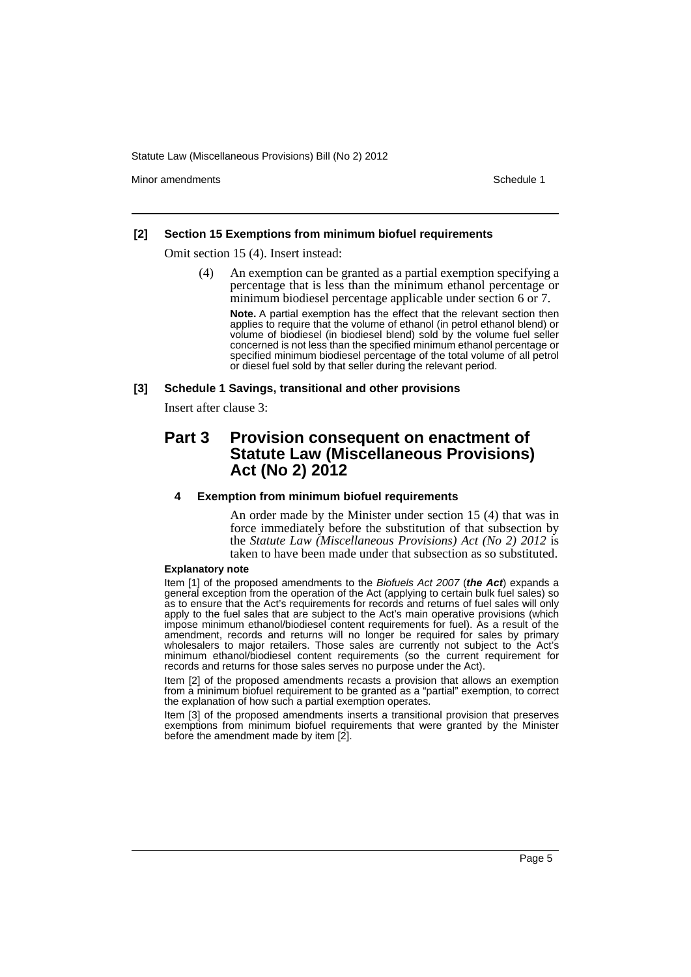Minor amendments **Schedule 1** and the state of the state of the state of the Schedule 1

#### **[2] Section 15 Exemptions from minimum biofuel requirements**

Omit section 15 (4). Insert instead:

(4) An exemption can be granted as a partial exemption specifying a percentage that is less than the minimum ethanol percentage or minimum biodiesel percentage applicable under section 6 or 7.

**Note.** A partial exemption has the effect that the relevant section then applies to require that the volume of ethanol (in petrol ethanol blend) or volume of biodiesel (in biodiesel blend) sold by the volume fuel seller concerned is not less than the specified minimum ethanol percentage or specified minimum biodiesel percentage of the total volume of all petrol or diesel fuel sold by that seller during the relevant period.

#### **[3] Schedule 1 Savings, transitional and other provisions**

Insert after clause 3:

### **Part 3 Provision consequent on enactment of Statute Law (Miscellaneous Provisions) Act (No 2) 2012**

#### **4 Exemption from minimum biofuel requirements**

An order made by the Minister under section 15 (4) that was in force immediately before the substitution of that subsection by the *Statute Law (Miscellaneous Provisions) Act (No 2) 2012* is taken to have been made under that subsection as so substituted.

#### **Explanatory note**

Item [1] of the proposed amendments to the *Biofuels Act 2007* (*the Act*) expands a general exception from the operation of the Act (applying to certain bulk fuel sales) so as to ensure that the Act's requirements for records and returns of fuel sales will only apply to the fuel sales that are subject to the Act's main operative provisions (which impose minimum ethanol/biodiesel content requirements for fuel). As a result of the amendment, records and returns will no longer be required for sales by primary wholesalers to major retailers. Those sales are currently not subject to the Act's minimum ethanol/biodiesel content requirements (so the current requirement for records and returns for those sales serves no purpose under the Act).

Item [2] of the proposed amendments recasts a provision that allows an exemption from a minimum biofuel requirement to be granted as a "partial" exemption, to correct the explanation of how such a partial exemption operates.

Item [3] of the proposed amendments inserts a transitional provision that preserves exemptions from minimum biofuel requirements that were granted by the Minister before the amendment made by item [2].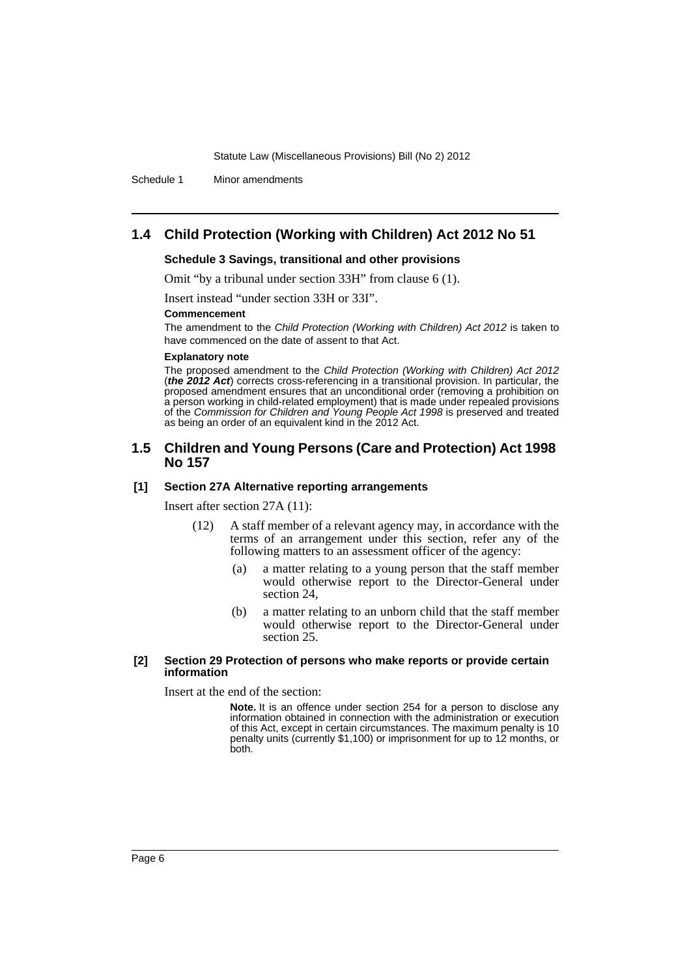Schedule 1 Minor amendments

### **1.4 Child Protection (Working with Children) Act 2012 No 51**

#### **Schedule 3 Savings, transitional and other provisions**

Omit "by a tribunal under section 33H" from clause 6 (1).

Insert instead "under section 33H or 33I".

#### **Commencement**

The amendment to the *Child Protection (Working with Children) Act 2012* is taken to have commenced on the date of assent to that Act.

#### **Explanatory note**

The proposed amendment to the *Child Protection (Working with Children) Act 2012* (*the 2012 Act*) corrects cross-referencing in a transitional provision. In particular, the proposed amendment ensures that an unconditional order (removing a prohibition on a person working in child-related employment) that is made under repealed provisions of the *Commission for Children and Young People Act 1998* is preserved and treated as being an order of an equivalent kind in the 2012 Act.

#### **1.5 Children and Young Persons (Care and Protection) Act 1998 No 157**

#### **[1] Section 27A Alternative reporting arrangements**

Insert after section 27A (11):

- (12) A staff member of a relevant agency may, in accordance with the terms of an arrangement under this section, refer any of the following matters to an assessment officer of the agency:
	- (a) a matter relating to a young person that the staff member would otherwise report to the Director-General under section 24,
	- (b) a matter relating to an unborn child that the staff member would otherwise report to the Director-General under section 25.

#### **[2] Section 29 Protection of persons who make reports or provide certain information**

Insert at the end of the section:

**Note.** It is an offence under section 254 for a person to disclose any information obtained in connection with the administration or execution of this Act, except in certain circumstances. The maximum penalty is 10 penalty units (currently \$1,100) or imprisonment for up to 12 months, or both.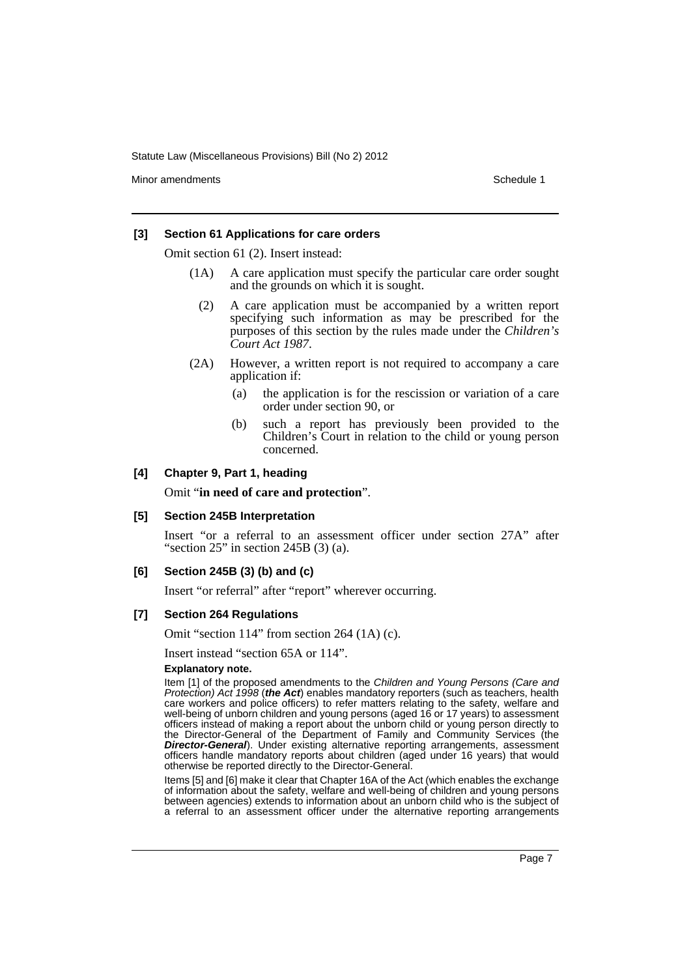Minor amendments **Schedule 1** and the state of the state of the state of the Schedule 1

#### **[3] Section 61 Applications for care orders**

Omit section 61 (2). Insert instead:

- (1A) A care application must specify the particular care order sought and the grounds on which it is sought.
	- (2) A care application must be accompanied by a written report specifying such information as may be prescribed for the purposes of this section by the rules made under the *Children's Court Act 1987*.
- (2A) However, a written report is not required to accompany a care application if:
	- (a) the application is for the rescission or variation of a care order under section 90, or
	- (b) such a report has previously been provided to the Children's Court in relation to the child or young person concerned.

### **[4] Chapter 9, Part 1, heading**

Omit "**in need of care and protection**".

#### **[5] Section 245B Interpretation**

Insert "or a referral to an assessment officer under section 27A" after "section  $25$ " in section  $245B(3)$  (a).

#### **[6] Section 245B (3) (b) and (c)**

Insert "or referral" after "report" wherever occurring.

#### **[7] Section 264 Regulations**

Omit "section 114" from section 264 (1A) (c).

Insert instead "section 65A or 114".

#### **Explanatory note.**

Item [1] of the proposed amendments to the *Children and Young Persons (Care and Protection) Act 1998* (*the Act*) enables mandatory reporters (such as teachers, health care workers and police officers) to refer matters relating to the safety, welfare and well-being of unborn children and young persons (aged 16 or 17 years) to assessment officers instead of making a report about the unborn child or young person directly to the Director-General of the Department of Family and Community Services (the *Director-General*). Under existing alternative reporting arrangements, assessment officers handle mandatory reports about children (aged under 16 years) that would otherwise be reported directly to the Director-General.

Items [5] and [6] make it clear that Chapter 16A of the Act (which enables the exchange of information about the safety, welfare and well-being of children and young persons between agencies) extends to information about an unborn child who is the subject of a referral to an assessment officer under the alternative reporting arrangements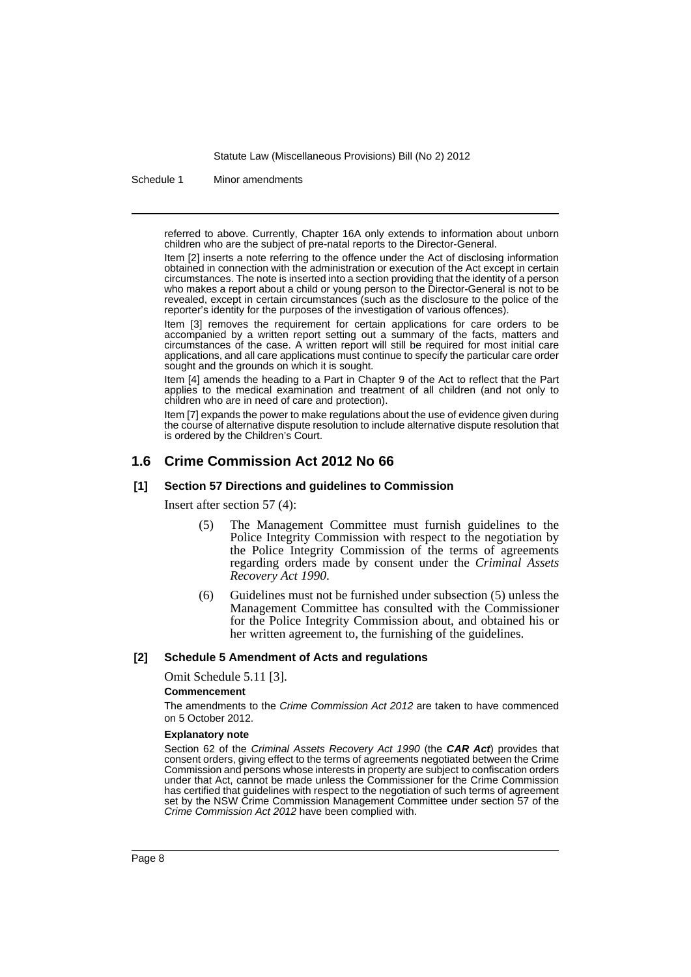Schedule 1 Minor amendments

referred to above. Currently, Chapter 16A only extends to information about unborn children who are the subject of pre-natal reports to the Director-General.

Item [2] inserts a note referring to the offence under the Act of disclosing information obtained in connection with the administration or execution of the Act except in certain circumstances. The note is inserted into a section providing that the identity of a person who makes a report about a child or young person to the Director-General is not to be revealed, except in certain circumstances (such as the disclosure to the police of the reporter's identity for the purposes of the investigation of various offences).

Item [3] removes the requirement for certain applications for care orders to be accompanied by a written report setting out a summary of the facts, matters and circumstances of the case. A written report will still be required for most initial care applications, and all care applications must continue to specify the particular care order sought and the grounds on which it is sought.

Item [4] amends the heading to a Part in Chapter 9 of the Act to reflect that the Part applies to the medical examination and treatment of all children (and not only to children who are in need of care and protection).

Item [7] expands the power to make regulations about the use of evidence given during the course of alternative dispute resolution to include alternative dispute resolution that is ordered by the Children's Court.

### **1.6 Crime Commission Act 2012 No 66**

#### **[1] Section 57 Directions and guidelines to Commission**

Insert after section 57 (4):

- (5) The Management Committee must furnish guidelines to the Police Integrity Commission with respect to the negotiation by the Police Integrity Commission of the terms of agreements regarding orders made by consent under the *Criminal Assets Recovery Act 1990*.
- (6) Guidelines must not be furnished under subsection (5) unless the Management Committee has consulted with the Commissioner for the Police Integrity Commission about, and obtained his or her written agreement to, the furnishing of the guidelines.

#### **[2] Schedule 5 Amendment of Acts and regulations**

Omit Schedule 5.11 [3].

#### **Commencement**

The amendments to the *Crime Commission Act 2012* are taken to have commenced on 5 October 2012.

#### **Explanatory note**

Section 62 of the *Criminal Assets Recovery Act 1990* (the *CAR Act*) provides that consent orders, giving effect to the terms of agreements negotiated between the Crime Commission and persons whose interests in property are subject to confiscation orders under that Act, cannot be made unless the Commissioner for the Crime Commission has certified that guidelines with respect to the negotiation of such terms of agreement set by the NSW Crime Commission Management Committee under section 57 of the *Crime Commission Act 2012* have been complied with.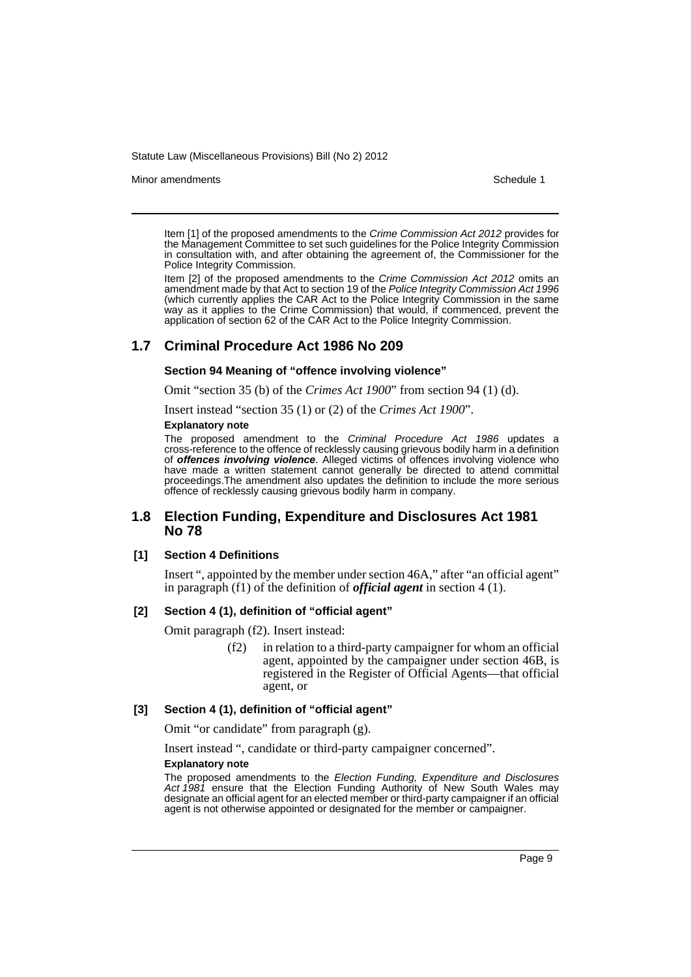Minor amendments **Schedule 1** and the state of the state of the state of the Schedule 1

Item [1] of the proposed amendments to the *Crime Commission Act 2012* provides for the Management Committee to set such guidelines for the Police Integrity Commission in consultation with, and after obtaining the agreement of, the Commissioner for the Police Integrity Commission.

Item [2] of the proposed amendments to the *Crime Commission Act 2012* omits an amendment made by that Act to section 19 of the *Police Integrity Commission Act 1996* (which currently applies the CAR Act to the Police Integrity Commission in the same way as it applies to the Crime Commission) that would, if commenced, prevent the application of section 62 of the CAR Act to the Police Integrity Commission.

### **1.7 Criminal Procedure Act 1986 No 209**

#### **Section 94 Meaning of "offence involving violence"**

Omit "section 35 (b) of the *Crimes Act 1900*" from section 94 (1) (d).

Insert instead "section 35 (1) or (2) of the *Crimes Act 1900*".

#### **Explanatory note**

The proposed amendment to the *Criminal Procedure Act 1986* updates a cross-reference to the offence of recklessly causing grievous bodily harm in a definition of *offences involving violence*. Alleged victims of offences involving violence who have made a written statement cannot generally be directed to attend committal proceedings.The amendment also updates the definition to include the more serious offence of recklessly causing grievous bodily harm in company.

### **1.8 Election Funding, Expenditure and Disclosures Act 1981 No 78**

#### **[1] Section 4 Definitions**

Insert ", appointed by the member under section 46A," after "an official agent" in paragraph (f1) of the definition of *official agent* in section 4 (1).

#### **[2] Section 4 (1), definition of "official agent"**

Omit paragraph (f2). Insert instead:

(f2) in relation to a third-party campaigner for whom an official agent, appointed by the campaigner under section 46B, is registered in the Register of Official Agents—that official agent, or

#### **[3] Section 4 (1), definition of "official agent"**

Omit "or candidate" from paragraph (g).

Insert instead ", candidate or third-party campaigner concerned".

#### **Explanatory note**

The proposed amendments to the *Election Funding, Expenditure and Disclosures Act 1981* ensure that the Election Funding Authority of New South Wales may designate an official agent for an elected member or third-party campaigner if an official agent is not otherwise appointed or designated for the member or campaigner.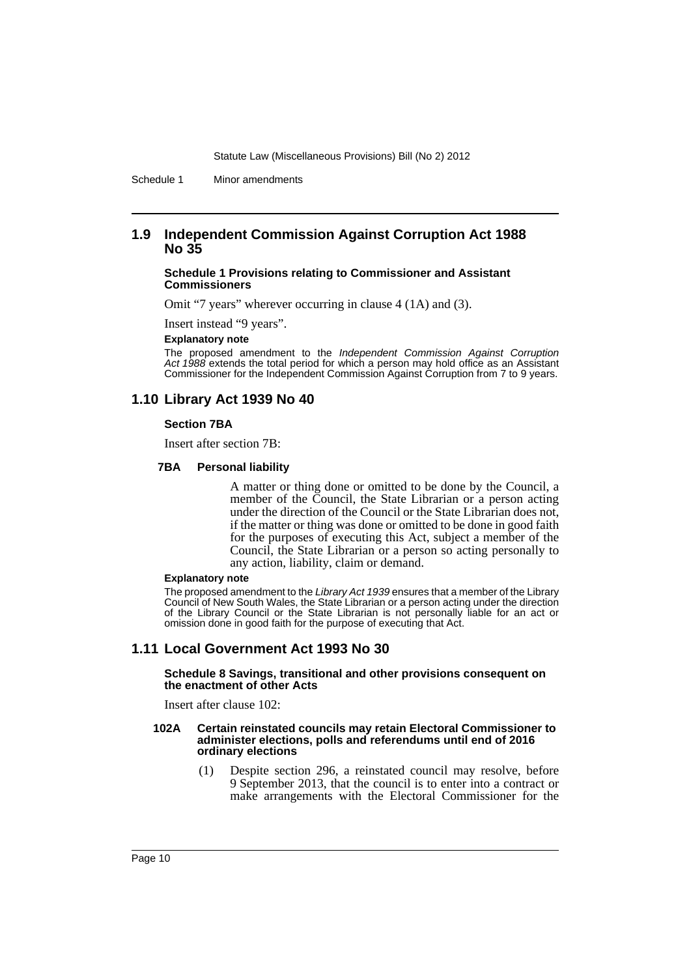Schedule 1 Minor amendments

### **1.9 Independent Commission Against Corruption Act 1988 No 35**

#### **Schedule 1 Provisions relating to Commissioner and Assistant Commissioners**

Omit "7 years" wherever occurring in clause 4 (1A) and (3).

Insert instead "9 years".

#### **Explanatory note**

The proposed amendment to the *Independent Commission Against Corruption Act 1988* extends the total period for which a person may hold office as an Assistant Commissioner for the Independent Commission Against Corruption from 7 to 9 years.

### **1.10 Library Act 1939 No 40**

#### **Section 7BA**

Insert after section 7B:

#### **7BA Personal liability**

A matter or thing done or omitted to be done by the Council, a member of the Council, the State Librarian or a person acting under the direction of the Council or the State Librarian does not, if the matter or thing was done or omitted to be done in good faith for the purposes of executing this Act, subject a member of the Council, the State Librarian or a person so acting personally to any action, liability, claim or demand.

#### **Explanatory note**

The proposed amendment to the *Library Act 1939* ensures that a member of the Library Council of New South Wales, the State Librarian or a person acting under the direction of the Library Council or the State Librarian is not personally liable for an act or omission done in good faith for the purpose of executing that Act.

### **1.11 Local Government Act 1993 No 30**

#### **Schedule 8 Savings, transitional and other provisions consequent on the enactment of other Acts**

Insert after clause 102:

#### **102A Certain reinstated councils may retain Electoral Commissioner to administer elections, polls and referendums until end of 2016 ordinary elections**

(1) Despite section 296, a reinstated council may resolve, before 9 September 2013, that the council is to enter into a contract or make arrangements with the Electoral Commissioner for the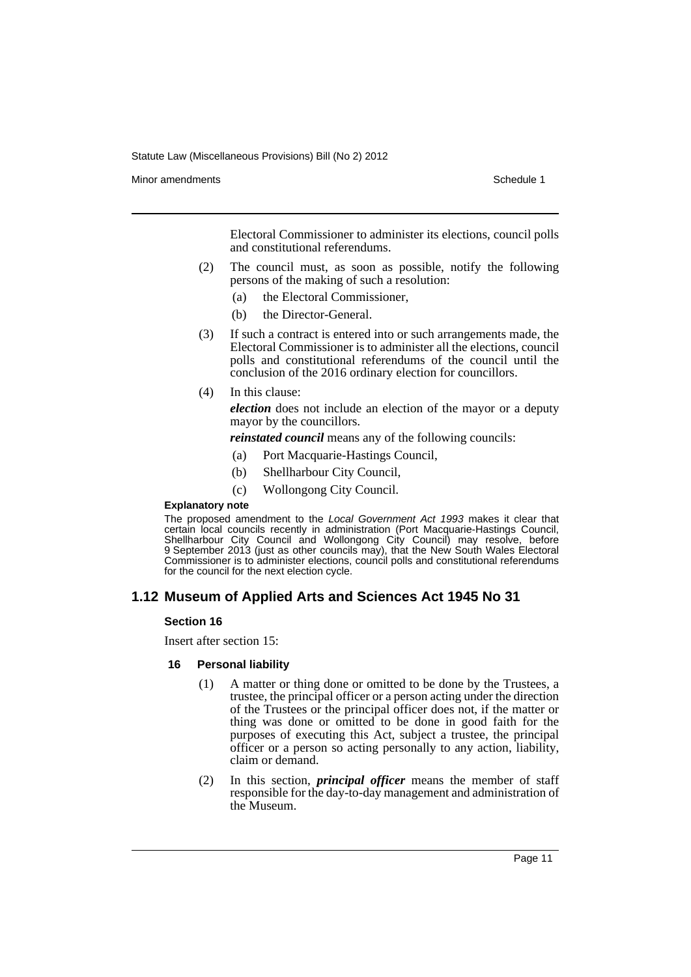Minor amendments **Schedule 1** and the state of the state of the state of the Schedule 1

Electoral Commissioner to administer its elections, council polls and constitutional referendums.

- (2) The council must, as soon as possible, notify the following persons of the making of such a resolution:
	- (a) the Electoral Commissioner,
	- (b) the Director-General.
- (3) If such a contract is entered into or such arrangements made, the Electoral Commissioner is to administer all the elections, council polls and constitutional referendums of the council until the conclusion of the 2016 ordinary election for councillors.
- (4) In this clause:

*election* does not include an election of the mayor or a deputy mayor by the councillors.

*reinstated council* means any of the following councils:

- (a) Port Macquarie-Hastings Council,
- (b) Shellharbour City Council,
- (c) Wollongong City Council.

#### **Explanatory note**

The proposed amendment to the *Local Government Act 1993* makes it clear that certain local councils recently in administration (Port Macquarie-Hastings Council, Shellharbour City Council and Wollongong City Council) may resolve, before 9 September 2013 (just as other councils may), that the New South Wales Electoral Commissioner is to administer elections, council polls and constitutional referendums for the council for the next election cycle.

### **1.12 Museum of Applied Arts and Sciences Act 1945 No 31**

#### **Section 16**

Insert after section 15:

#### **16 Personal liability**

- (1) A matter or thing done or omitted to be done by the Trustees, a trustee, the principal officer or a person acting under the direction of the Trustees or the principal officer does not, if the matter or thing was done or omitted to be done in good faith for the purposes of executing this Act, subject a trustee, the principal officer or a person so acting personally to any action, liability, claim or demand.
- (2) In this section, *principal officer* means the member of staff responsible for the day-to-day management and administration of the Museum.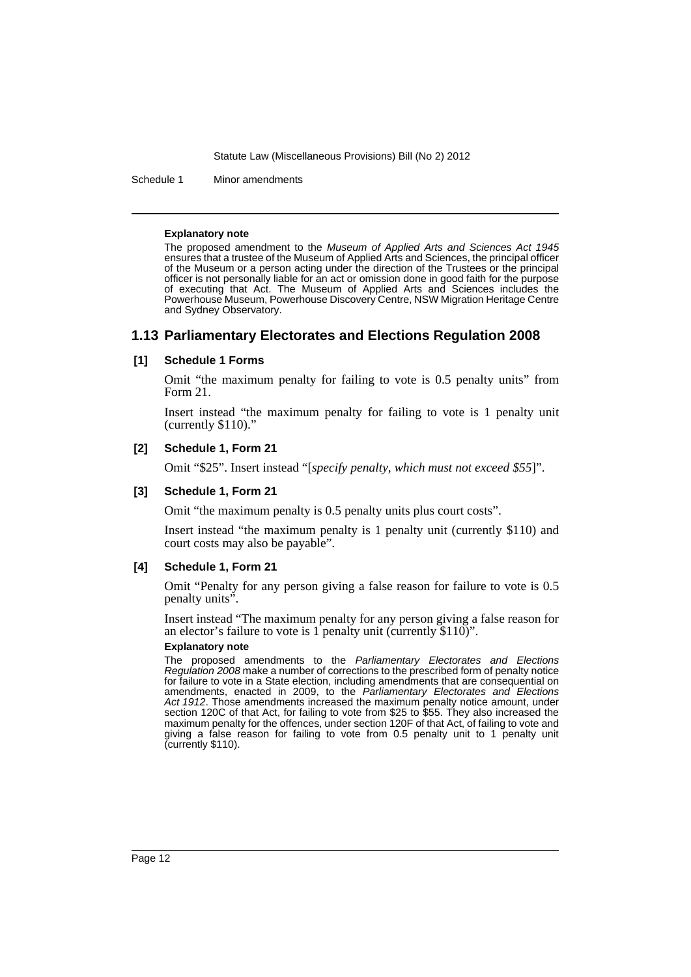Schedule 1 Minor amendments

#### **Explanatory note**

The proposed amendment to the *Museum of Applied Arts and Sciences Act 1945* ensures that a trustee of the Museum of Applied Arts and Sciences, the principal officer of the Museum or a person acting under the direction of the Trustees or the principal officer is not personally liable for an act or omission done in good faith for the purpose of executing that Act. The Museum of Applied Arts and Sciences includes the Powerhouse Museum, Powerhouse Discovery Centre, NSW Migration Heritage Centre and Sydney Observatory.

### **1.13 Parliamentary Electorates and Elections Regulation 2008**

#### **[1] Schedule 1 Forms**

Omit "the maximum penalty for failing to vote is 0.5 penalty units" from Form 21.

Insert instead "the maximum penalty for failing to vote is 1 penalty unit (currently \$110)."

### **[2] Schedule 1, Form 21**

Omit "\$25". Insert instead "[*specify penalty, which must not exceed \$55*]".

#### **[3] Schedule 1, Form 21**

Omit "the maximum penalty is 0.5 penalty units plus court costs".

Insert instead "the maximum penalty is 1 penalty unit (currently \$110) and court costs may also be payable".

#### **[4] Schedule 1, Form 21**

Omit "Penalty for any person giving a false reason for failure to vote is 0.5 penalty units".

Insert instead "The maximum penalty for any person giving a false reason for an elector's failure to vote is 1 penalty unit (currently  $$110$ )".

#### **Explanatory note**

The proposed amendments to the *Parliamentary Electorates and Elections Regulation 2008* make a number of corrections to the prescribed form of penalty notice for failure to vote in a State election, including amendments that are consequential on amendments, enacted in 2009, to the *Parliamentary Electorates and Elections Act 1912*. Those amendments increased the maximum penalty notice amount, under section 120C of that Act, for failing to vote from \$25 to \$55. They also increased the maximum penalty for the offences, under section 120F of that Act, of failing to vote and giving a false reason for failing to vote from 0.5 penalty unit to 1 penalty unit (currently \$110).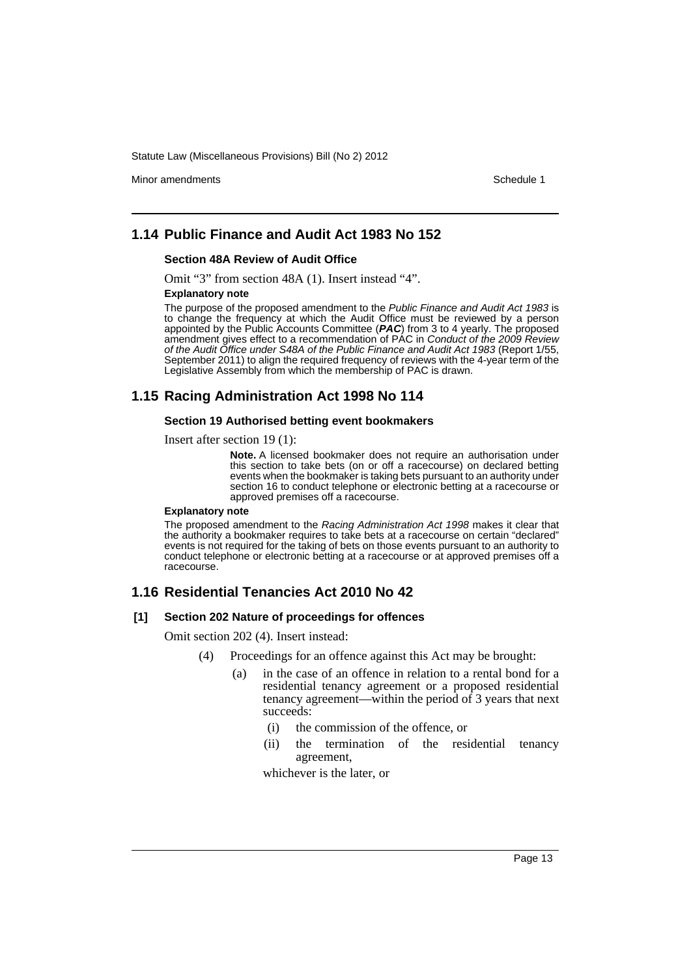Minor amendments **Schedule 1** and the state of the state of the state of the Schedule 1

### **1.14 Public Finance and Audit Act 1983 No 152**

#### **Section 48A Review of Audit Office**

Omit "3" from section 48A (1). Insert instead "4".

#### **Explanatory note**

The purpose of the proposed amendment to the *Public Finance and Audit Act 1983* is to change the frequency at which the Audit Office must be reviewed by a person appointed by the Public Accounts Committee (*PAC*) from 3 to 4 yearly. The proposed amendment gives effect to a recommendation of PAC in *Conduct of the 2009 Review of the Audit Office under S48A of the Public Finance and Audit Act 1983* (Report 1/55, September 2011) to align the required frequency of reviews with the 4-year term of the Legislative Assembly from which the membership of PAC is drawn.

### **1.15 Racing Administration Act 1998 No 114**

#### **Section 19 Authorised betting event bookmakers**

Insert after section 19 (1):

**Note.** A licensed bookmaker does not require an authorisation under this section to take bets (on or off a racecourse) on declared betting events when the bookmaker is taking bets pursuant to an authority under section 16 to conduct telephone or electronic betting at a racecourse or approved premises off a racecourse.

#### **Explanatory note**

The proposed amendment to the *Racing Administration Act 1998* makes it clear that the authority a bookmaker requires to take bets at a racecourse on certain "declared" events is not required for the taking of bets on those events pursuant to an authority to conduct telephone or electronic betting at a racecourse or at approved premises off a racecourse.

### **1.16 Residential Tenancies Act 2010 No 42**

#### **[1] Section 202 Nature of proceedings for offences**

Omit section 202 (4). Insert instead:

- (4) Proceedings for an offence against this Act may be brought:
	- (a) in the case of an offence in relation to a rental bond for a residential tenancy agreement or a proposed residential tenancy agreement—within the period of 3 years that next succeeds:
		- (i) the commission of the offence, or
		- (ii) the termination of the residential tenancy agreement,

whichever is the later, or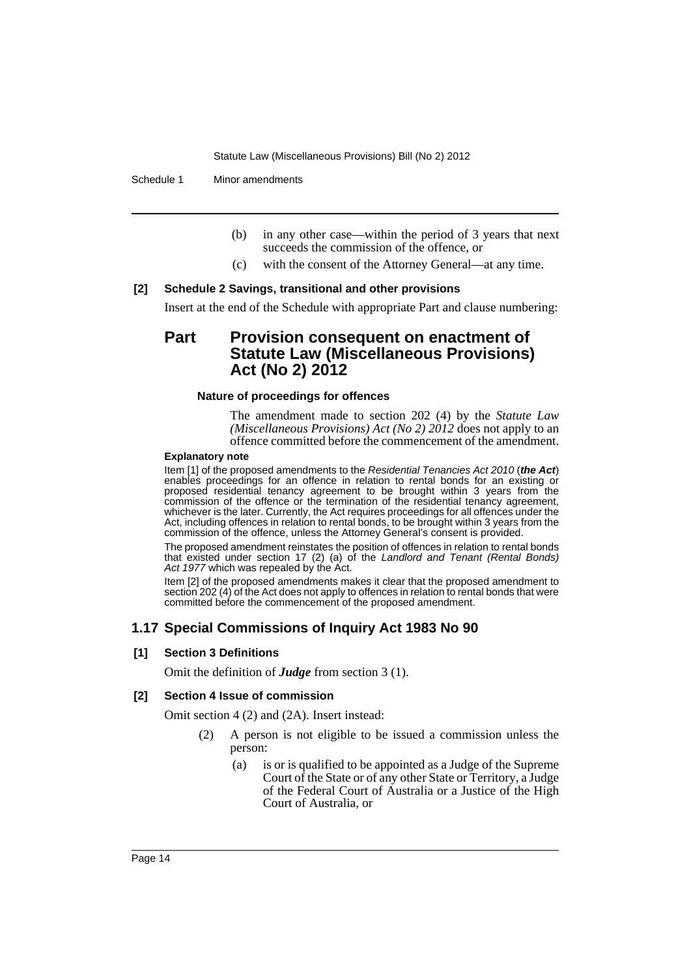Schedule 1 Minor amendments

- (b) in any other case—within the period of 3 years that next succeeds the commission of the offence, or
- (c) with the consent of the Attorney General—at any time.

### **[2] Schedule 2 Savings, transitional and other provisions**

Insert at the end of the Schedule with appropriate Part and clause numbering:

### **Part Provision consequent on enactment of Statute Law (Miscellaneous Provisions) Act (No 2) 2012**

### **Nature of proceedings for offences**

The amendment made to section 202 (4) by the *Statute Law (Miscellaneous Provisions) Act (No 2) 2012* does not apply to an offence committed before the commencement of the amendment.

#### **Explanatory note**

Item [1] of the proposed amendments to the *Residential Tenancies Act 2010* (*the Act*) enables proceedings for an offence in relation to rental bonds for an existing or proposed residential tenancy agreement to be brought within 3 years from the commission of the offence or the termination of the residential tenancy agreement, whichever is the later. Currently, the Act requires proceedings for all offences under the Act, including offences in relation to rental bonds, to be brought within 3 years from the commission of the offence, unless the Attorney General's consent is provided.

The proposed amendment reinstates the position of offences in relation to rental bonds that existed under section 17 (2) (a) of the *Landlord and Tenant (Rental Bonds)* Act 1977 which was repealed by the Act.

Item [2] of the proposed amendments makes it clear that the proposed amendment to section 202 (4) of the Act does not apply to offences in relation to rental bonds that were committed before the commencement of the proposed amendment.

### **1.17 Special Commissions of Inquiry Act 1983 No 90**

### **[1] Section 3 Definitions**

Omit the definition of *Judge* from section 3 (1).

#### **[2] Section 4 Issue of commission**

Omit section 4 (2) and (2A). Insert instead:

- (2) A person is not eligible to be issued a commission unless the person:
	- (a) is or is qualified to be appointed as a Judge of the Supreme Court of the State or of any other State or Territory, a Judge of the Federal Court of Australia or a Justice of the High Court of Australia, or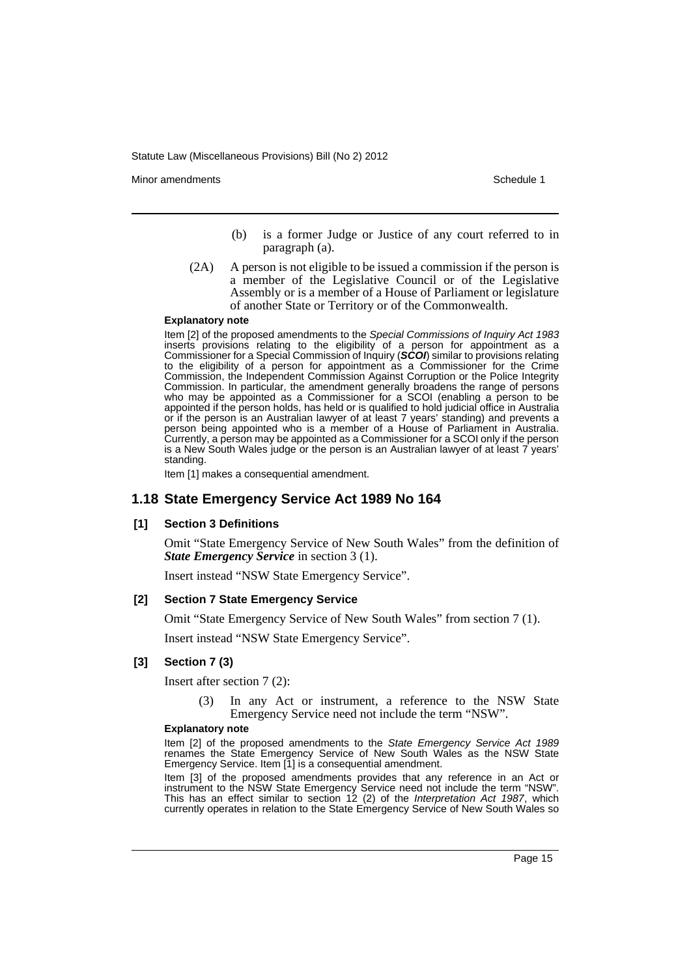Minor amendments **Schedule 1** and the state of the state of the state of the Schedule 1

- (b) is a former Judge or Justice of any court referred to in paragraph (a).
- (2A) A person is not eligible to be issued a commission if the person is a member of the Legislative Council or of the Legislative Assembly or is a member of a House of Parliament or legislature of another State or Territory or of the Commonwealth.

#### **Explanatory note**

Item [2] of the proposed amendments to the *Special Commissions of Inquiry Act 1983* inserts provisions relating to the eligibility of a person for appointment as a Commissioner for a Special Commission of Inquiry (*SCOI*) similar to provisions relating to the eligibility of a person for appointment as a Commissioner for the Crime Commission, the Independent Commission Against Corruption or the Police Integrity Commission. In particular, the amendment generally broadens the range of persons who may be appointed as a Commissioner for a SCOI (enabling a person to be appointed if the person holds, has held or is qualified to hold judicial office in Australia or if the person is an Australian lawyer of at least 7 years' standing) and prevents a person being appointed who is a member of a House of Parliament in Australia. Currently, a person may be appointed as a Commissioner for a SCOI only if the person is a New South Wales judge or the person is an Australian lawyer of at least 7 years' standing.

Item [1] makes a consequential amendment.

### **1.18 State Emergency Service Act 1989 No 164**

#### **[1] Section 3 Definitions**

Omit "State Emergency Service of New South Wales" from the definition of *State Emergency Service* in section 3 (1).

Insert instead "NSW State Emergency Service".

#### **[2] Section 7 State Emergency Service**

Omit "State Emergency Service of New South Wales" from section 7 (1).

Insert instead "NSW State Emergency Service".

#### **[3] Section 7 (3)**

Insert after section 7 (2):

(3) In any Act or instrument, a reference to the NSW State Emergency Service need not include the term "NSW".

#### **Explanatory note**

Item [2] of the proposed amendments to the *State Emergency Service Act 1989* renames the State Emergency Service of New South Wales as the NSW State Emergency Service. Item [1] is a consequential amendment.

Item [3] of the proposed amendments provides that any reference in an Act or instrument to the NSW State Emergency Service need not include the term "NSW". This has an effect similar to section 12 (2) of the *Interpretation Act 1987*, which currently operates in relation to the State Emergency Service of New South Wales so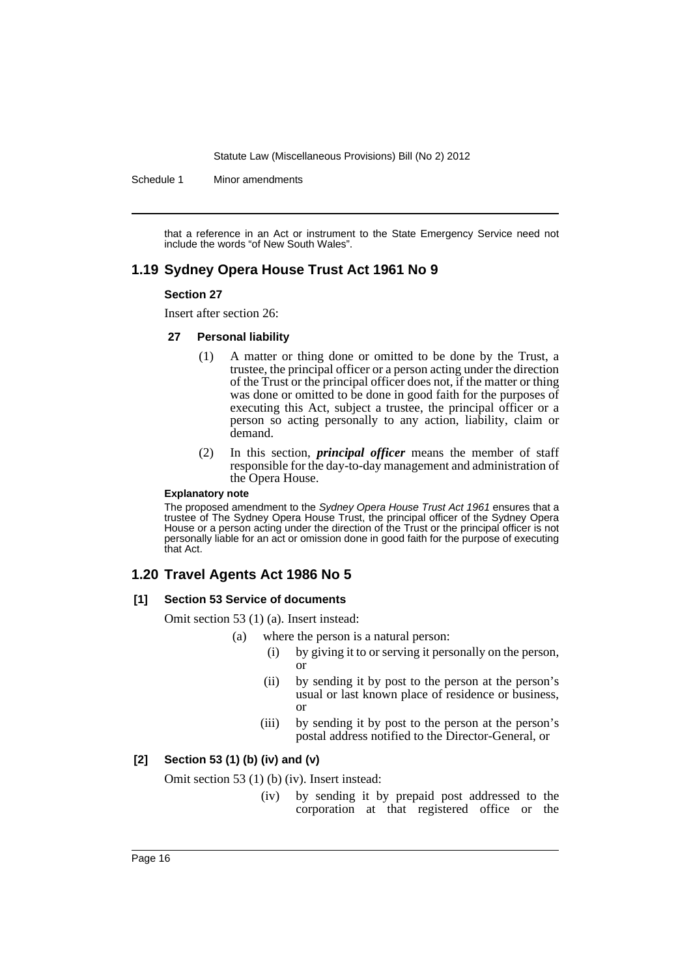Schedule 1 Minor amendments

that a reference in an Act or instrument to the State Emergency Service need not include the words "of New South Wales".

### **1.19 Sydney Opera House Trust Act 1961 No 9**

#### **Section 27**

Insert after section 26:

#### **27 Personal liability**

- (1) A matter or thing done or omitted to be done by the Trust, a trustee, the principal officer or a person acting under the direction of the Trust or the principal officer does not, if the matter or thing was done or omitted to be done in good faith for the purposes of executing this Act, subject a trustee, the principal officer or a person so acting personally to any action, liability, claim or demand.
- (2) In this section, *principal officer* means the member of staff responsible for the day-to-day management and administration of the Opera House.

#### **Explanatory note**

The proposed amendment to the *Sydney Opera House Trust Act 1961* ensures that a trustee of The Sydney Opera House Trust, the principal officer of the Sydney Opera House or a person acting under the direction of the Trust or the principal officer is not personally liable for an act or omission done in good faith for the purpose of executing that Act.

### **1.20 Travel Agents Act 1986 No 5**

#### **[1] Section 53 Service of documents**

Omit section 53 (1) (a). Insert instead:

- (a) where the person is a natural person:
	- (i) by giving it to or serving it personally on the person, or
	- (ii) by sending it by post to the person at the person's usual or last known place of residence or business, or
	- (iii) by sending it by post to the person at the person's postal address notified to the Director-General, or

### **[2] Section 53 (1) (b) (iv) and (v)**

Omit section 53 (1) (b) (iv). Insert instead:

(iv) by sending it by prepaid post addressed to the corporation at that registered office or the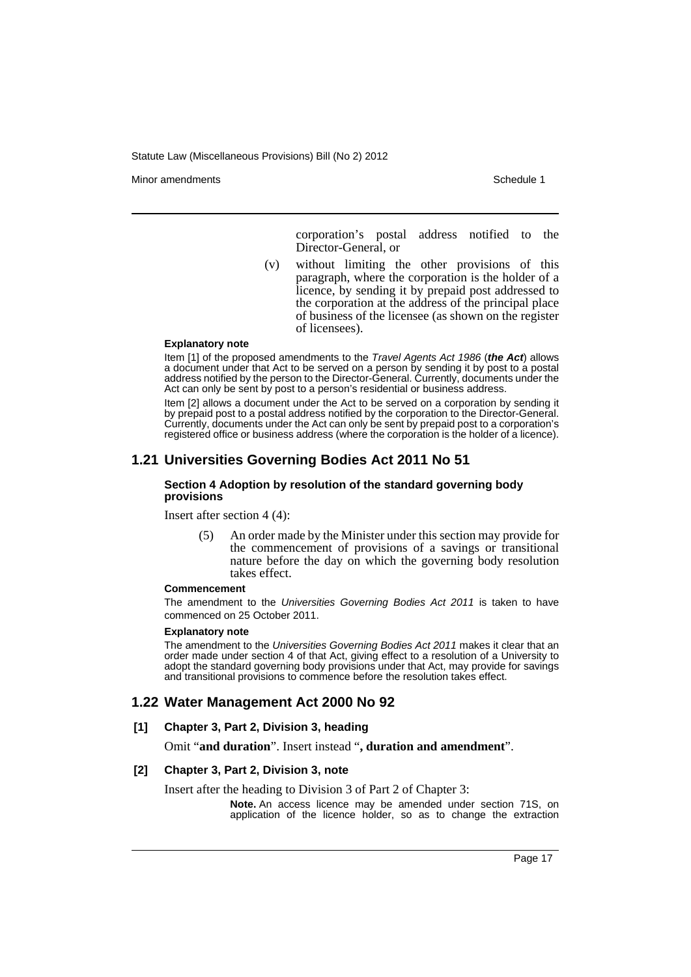Minor amendments **Schedule 1** and the state of the state of the state of the Schedule 1

corporation's postal address notified to the Director-General, or

(v) without limiting the other provisions of this paragraph, where the corporation is the holder of a licence, by sending it by prepaid post addressed to the corporation at the address of the principal place of business of the licensee (as shown on the register of licensees).

#### **Explanatory note**

Item [1] of the proposed amendments to the *Travel Agents Act 1986* (*the Act*) allows a document under that Act to be served on a person by sending it by post to a postal address notified by the person to the Director-General. Currently, documents under the Act can only be sent by post to a person's residential or business address.

Item [2] allows a document under the Act to be served on a corporation by sending it by prepaid post to a postal address notified by the corporation to the Director-General. Currently, documents under the Act can only be sent by prepaid post to a corporation's registered office or business address (where the corporation is the holder of a licence).

### **1.21 Universities Governing Bodies Act 2011 No 51**

#### **Section 4 Adoption by resolution of the standard governing body provisions**

Insert after section 4 (4):

(5) An order made by the Minister under this section may provide for the commencement of provisions of a savings or transitional nature before the day on which the governing body resolution takes effect.

#### **Commencement**

The amendment to the *Universities Governing Bodies Act 2011* is taken to have commenced on 25 October 2011.

#### **Explanatory note**

The amendment to the *Universities Governing Bodies Act 2011* makes it clear that an order made under section 4 of that Act, giving effect to a resolution of a University to adopt the standard governing body provisions under that Act, may provide for savings and transitional provisions to commence before the resolution takes effect.

### **1.22 Water Management Act 2000 No 92**

#### **[1] Chapter 3, Part 2, Division 3, heading**

Omit "**and duration**". Insert instead "**, duration and amendment**".

#### **[2] Chapter 3, Part 2, Division 3, note**

Insert after the heading to Division 3 of Part 2 of Chapter 3:

**Note.** An access licence may be amended under section 71S, on application of the licence holder, so as to change the extraction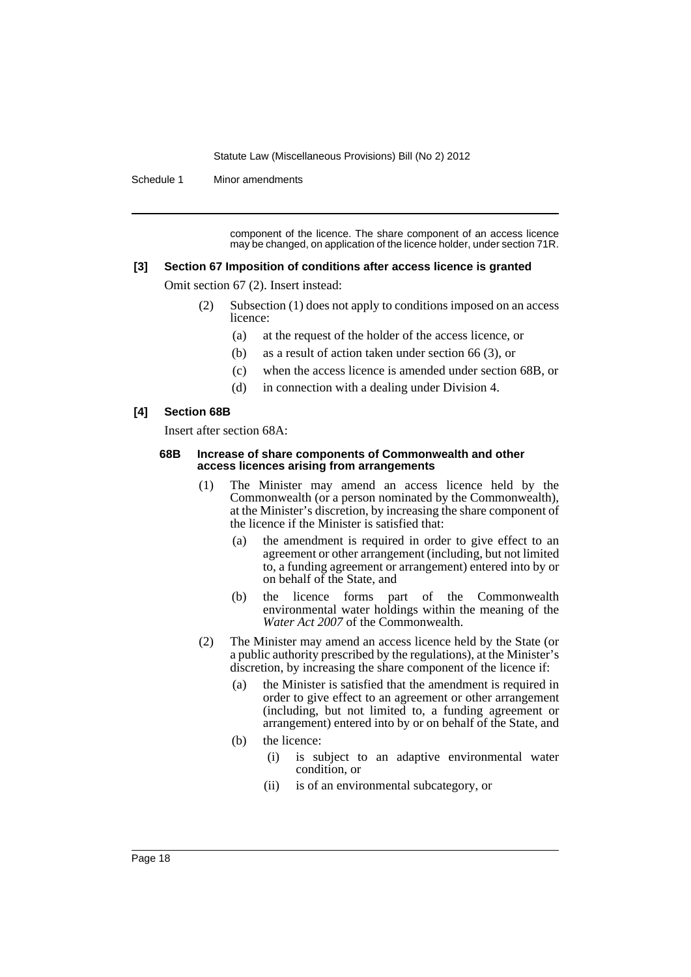Schedule 1 Minor amendments

component of the licence. The share component of an access licence may be changed, on application of the licence holder, under section 71R.

#### **[3] Section 67 Imposition of conditions after access licence is granted**

Omit section 67 (2). Insert instead:

- (2) Subsection (1) does not apply to conditions imposed on an access licence:
	- (a) at the request of the holder of the access licence, or
	- (b) as a result of action taken under section 66 (3), or
	- (c) when the access licence is amended under section 68B, or
	- (d) in connection with a dealing under Division 4.

### **[4] Section 68B**

Insert after section 68A:

#### **68B Increase of share components of Commonwealth and other access licences arising from arrangements**

- (1) The Minister may amend an access licence held by the Commonwealth (or a person nominated by the Commonwealth), at the Minister's discretion, by increasing the share component of the licence if the Minister is satisfied that:
	- (a) the amendment is required in order to give effect to an agreement or other arrangement (including, but not limited to, a funding agreement or arrangement) entered into by or on behalf of the State, and
	- (b) the licence forms part of the Commonwealth environmental water holdings within the meaning of the *Water Act 2007* of the Commonwealth.
- (2) The Minister may amend an access licence held by the State (or a public authority prescribed by the regulations), at the Minister's discretion, by increasing the share component of the licence if:
	- (a) the Minister is satisfied that the amendment is required in order to give effect to an agreement or other arrangement (including, but not limited to, a funding agreement or arrangement) entered into by or on behalf of the State, and
	- (b) the licence:
		- (i) is subject to an adaptive environmental water condition, or
		- (ii) is of an environmental subcategory, or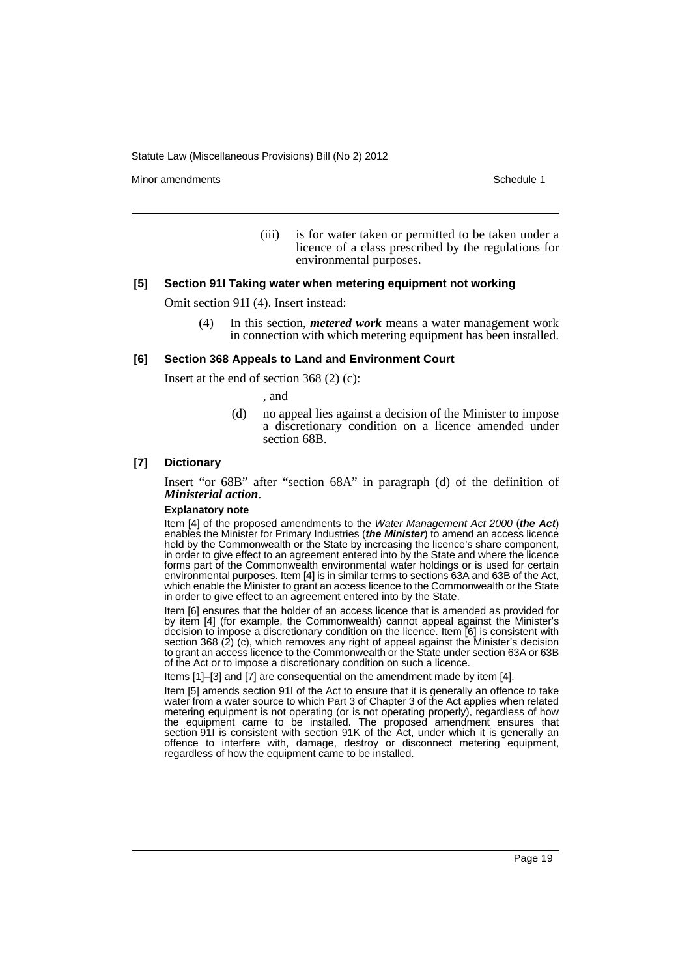Minor amendments **Schedule 1** and the state of the state of the state of the Schedule 1

(iii) is for water taken or permitted to be taken under a licence of a class prescribed by the regulations for environmental purposes.

#### **[5] Section 91I Taking water when metering equipment not working**

Omit section 91I (4). Insert instead:

(4) In this section, *metered work* means a water management work in connection with which metering equipment has been installed.

#### **[6] Section 368 Appeals to Land and Environment Court**

Insert at the end of section 368 (2) (c):

, and

(d) no appeal lies against a decision of the Minister to impose a discretionary condition on a licence amended under section 68B.

#### **[7] Dictionary**

Insert "or 68B" after "section 68A" in paragraph (d) of the definition of *Ministerial action*.

#### **Explanatory note**

Item [4] of the proposed amendments to the *Water Management Act 2000* (*the Act*) enables the Minister for Primary Industries (*the Minister*) to amend an access licence held by the Commonwealth or the State by increasing the licence's share component, in order to give effect to an agreement entered into by the State and where the licence forms part of the Commonwealth environmental water holdings or is used for certain environmental purposes. Item [4] is in similar terms to sections 63A and 63B of the Act, which enable the Minister to grant an access licence to the Commonwealth or the State in order to give effect to an agreement entered into by the State.

Item [6] ensures that the holder of an access licence that is amended as provided for by item [4] (for example, the Commonwealth) cannot appeal against the Minister's decision to impose a discretionary condition on the licence. Item [6] is consistent with section 368 (2) (c), which removes any right of appeal against the Minister's decision to grant an access licence to the Commonwealth or the State under section 63A or 63B of the Act or to impose a discretionary condition on such a licence.

Items [1]–[3] and [7] are consequential on the amendment made by item [4].

Item [5] amends section 91I of the Act to ensure that it is generally an offence to take water from a water source to which Part 3 of Chapter 3 of the Act applies when related metering equipment is not operating (or is not operating properly), regardless of how the equipment came to be installed. The proposed amendment ensures that section 91I is consistent with section 91K of the Act, under which it is generally an offence to interfere with, damage, destroy or disconnect metering equipment, regardless of how the equipment came to be installed.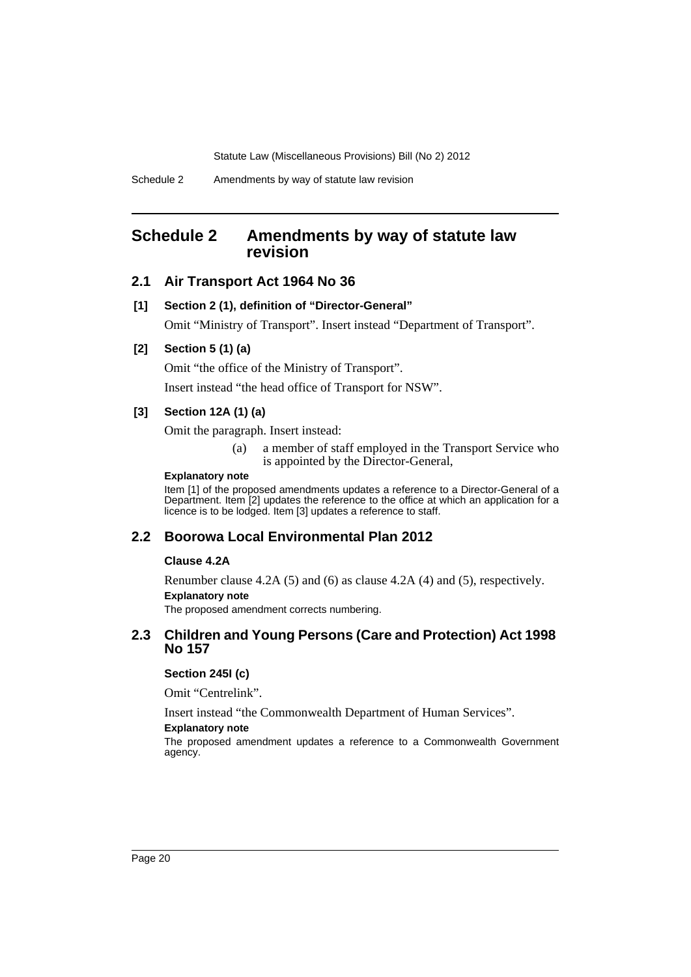### <span id="page-21-0"></span>**Schedule 2 Amendments by way of statute law revision**

### **2.1 Air Transport Act 1964 No 36**

#### **[1] Section 2 (1), definition of "Director-General"**

Omit "Ministry of Transport". Insert instead "Department of Transport".

### **[2] Section 5 (1) (a)**

Omit "the office of the Ministry of Transport".

Insert instead "the head office of Transport for NSW".

### **[3] Section 12A (1) (a)**

Omit the paragraph. Insert instead:

(a) a member of staff employed in the Transport Service who is appointed by the Director-General,

### **Explanatory note**

Item [1] of the proposed amendments updates a reference to a Director-General of a Department. Item [2] updates the reference to the office at which an application for a licence is to be lodged. Item [3] updates a reference to staff.

#### **2.2 Boorowa Local Environmental Plan 2012**

#### **Clause 4.2A**

Renumber clause 4.2A (5) and (6) as clause 4.2A (4) and (5), respectively. **Explanatory note** The proposed amendment corrects numbering.

### **2.3 Children and Young Persons (Care and Protection) Act 1998 No 157**

#### **Section 245I (c)**

Omit "Centrelink".

Insert instead "the Commonwealth Department of Human Services".

#### **Explanatory note**

The proposed amendment updates a reference to a Commonwealth Government agency.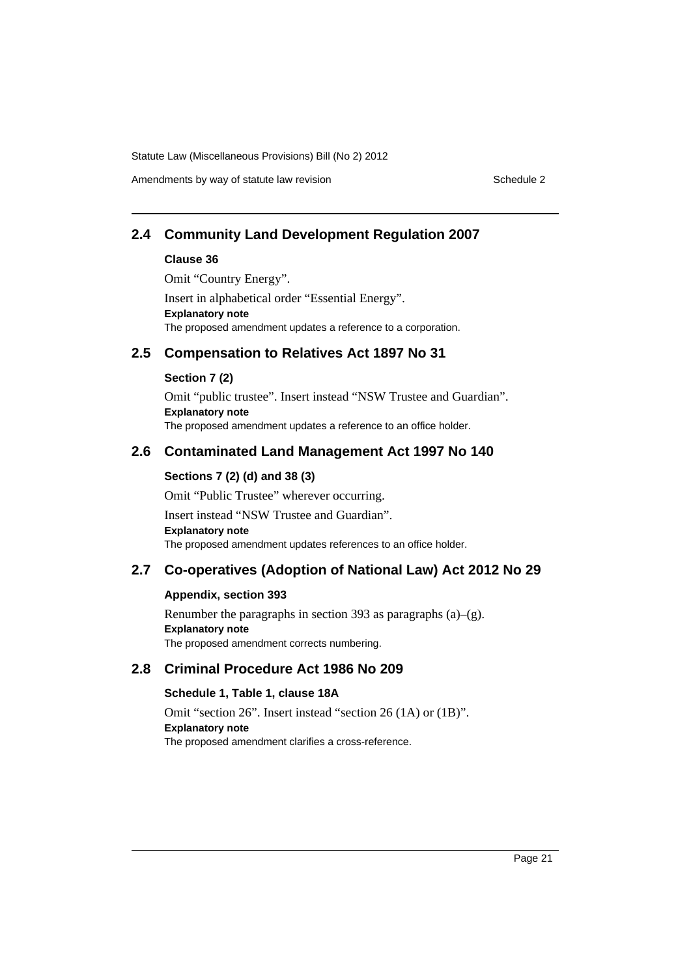Amendments by way of statute law revision example 2

### **2.4 Community Land Development Regulation 2007**

#### **Clause 36**

Omit "Country Energy".

Insert in alphabetical order "Essential Energy". **Explanatory note** The proposed amendment updates a reference to a corporation.

### **2.5 Compensation to Relatives Act 1897 No 31**

### **Section 7 (2)**

Omit "public trustee". Insert instead "NSW Trustee and Guardian". **Explanatory note** The proposed amendment updates a reference to an office holder.

### **2.6 Contaminated Land Management Act 1997 No 140**

### **Sections 7 (2) (d) and 38 (3)**

Omit "Public Trustee" wherever occurring. Insert instead "NSW Trustee and Guardian". **Explanatory note** The proposed amendment updates references to an office holder.

### **2.7 Co-operatives (Adoption of National Law) Act 2012 No 29**

### **Appendix, section 393**

Renumber the paragraphs in section 393 as paragraphs (a)–(g). **Explanatory note** The proposed amendment corrects numbering.

### **2.8 Criminal Procedure Act 1986 No 209**

### **Schedule 1, Table 1, clause 18A**

Omit "section 26". Insert instead "section 26 (1A) or (1B)". **Explanatory note** The proposed amendment clarifies a cross-reference.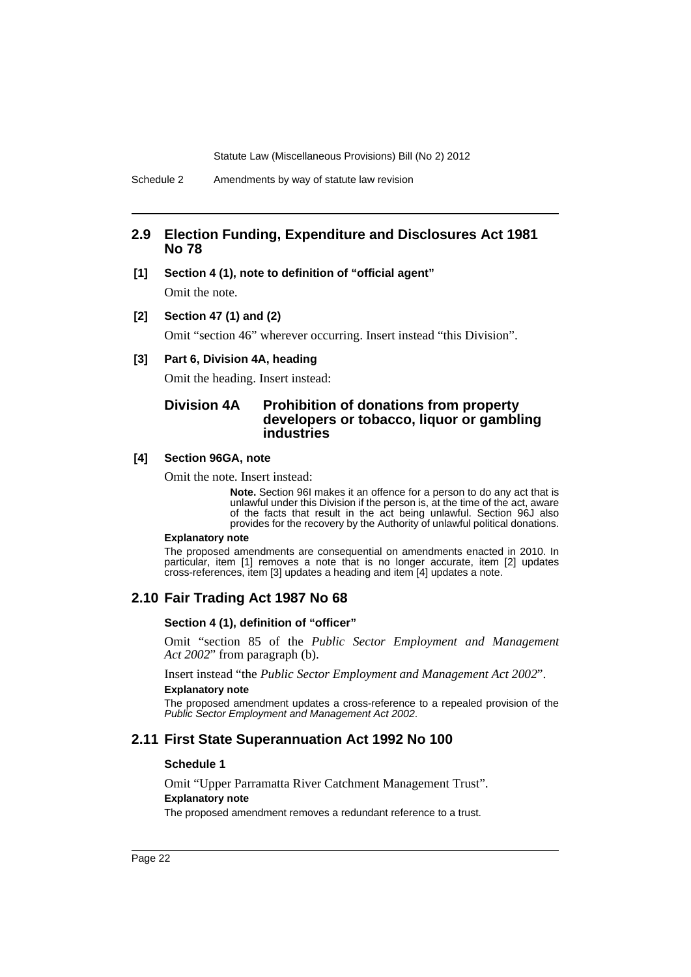### **2.9 Election Funding, Expenditure and Disclosures Act 1981 No 78**

**[1] Section 4 (1), note to definition of "official agent"**

Omit the note.

**[2] Section 47 (1) and (2)**

Omit "section 46" wherever occurring. Insert instead "this Division".

#### **[3] Part 6, Division 4A, heading**

Omit the heading. Insert instead:

### **Division 4A Prohibition of donations from property developers or tobacco, liquor or gambling industries**

#### **[4] Section 96GA, note**

Omit the note. Insert instead:

**Note.** Section 96I makes it an offence for a person to do any act that is unlawful under this Division if the person is, at the time of the act, aware of the facts that result in the act being unlawful. Section 96J also provides for the recovery by the Authority of unlawful political donations.

#### **Explanatory note**

The proposed amendments are consequential on amendments enacted in 2010. In particular, item [1] removes a note that is no longer accurate, item [2] updates cross-references, item [3] updates a heading and item [4] updates a note.

### **2.10 Fair Trading Act 1987 No 68**

#### **Section 4 (1), definition of "officer"**

Omit "section 85 of the *Public Sector Employment and Management Act 2002*" from paragraph (b).

Insert instead "the *Public Sector Employment and Management Act 2002*". **Explanatory note**

The proposed amendment updates a cross-reference to a repealed provision of the *Public Sector Employment and Management Act 2002*.

### **2.11 First State Superannuation Act 1992 No 100**

#### **Schedule 1**

Omit "Upper Parramatta River Catchment Management Trust". **Explanatory note** The proposed amendment removes a redundant reference to a trust.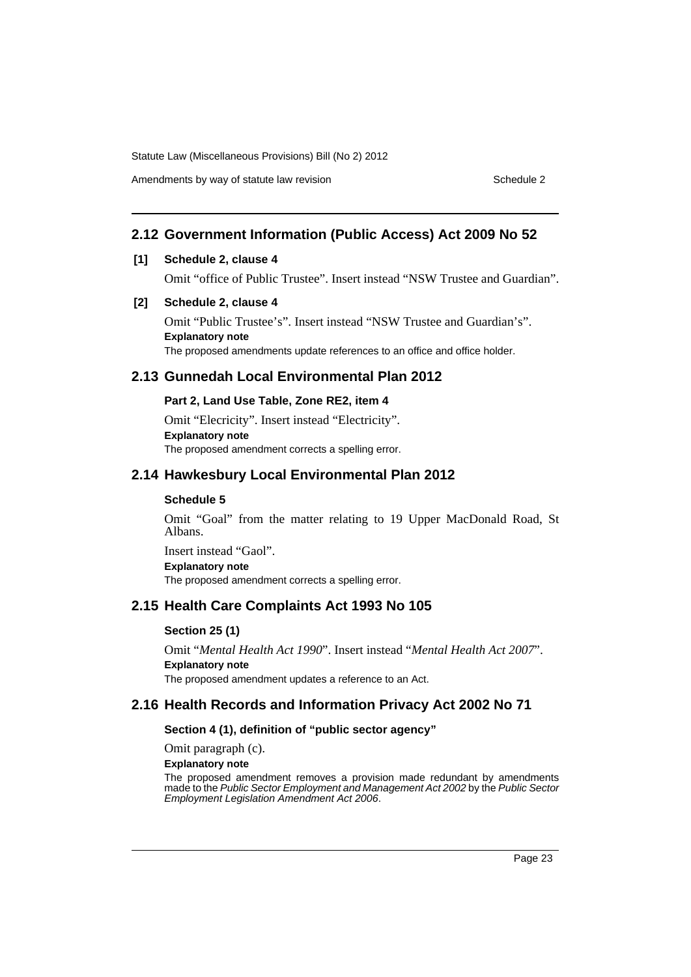Amendments by way of statute law revision example 2

### **2.12 Government Information (Public Access) Act 2009 No 52**

### **[1] Schedule 2, clause 4**

Omit "office of Public Trustee". Insert instead "NSW Trustee and Guardian".

### **[2] Schedule 2, clause 4**

Omit "Public Trustee's". Insert instead "NSW Trustee and Guardian's". **Explanatory note** The proposed amendments update references to an office and office holder.

### **2.13 Gunnedah Local Environmental Plan 2012**

### **Part 2, Land Use Table, Zone RE2, item 4**

Omit "Elecricity". Insert instead "Electricity". **Explanatory note** The proposed amendment corrects a spelling error.

### **2.14 Hawkesbury Local Environmental Plan 2012**

### **Schedule 5**

Omit "Goal" from the matter relating to 19 Upper MacDonald Road, St Albans.

Insert instead "Gaol". **Explanatory note** The proposed amendment corrects a spelling error.

### **2.15 Health Care Complaints Act 1993 No 105**

### **Section 25 (1)**

Omit "*Mental Health Act 1990*". Insert instead "*Mental Health Act 2007*". **Explanatory note** The proposed amendment updates a reference to an Act.

### **2.16 Health Records and Information Privacy Act 2002 No 71**

### **Section 4 (1), definition of "public sector agency"**

Omit paragraph (c).

**Explanatory note**

The proposed amendment removes a provision made redundant by amendments made to the *Public Sector Employment and Management Act 2002* by the *Public Sector Employment Legislation Amendment Act 2006*.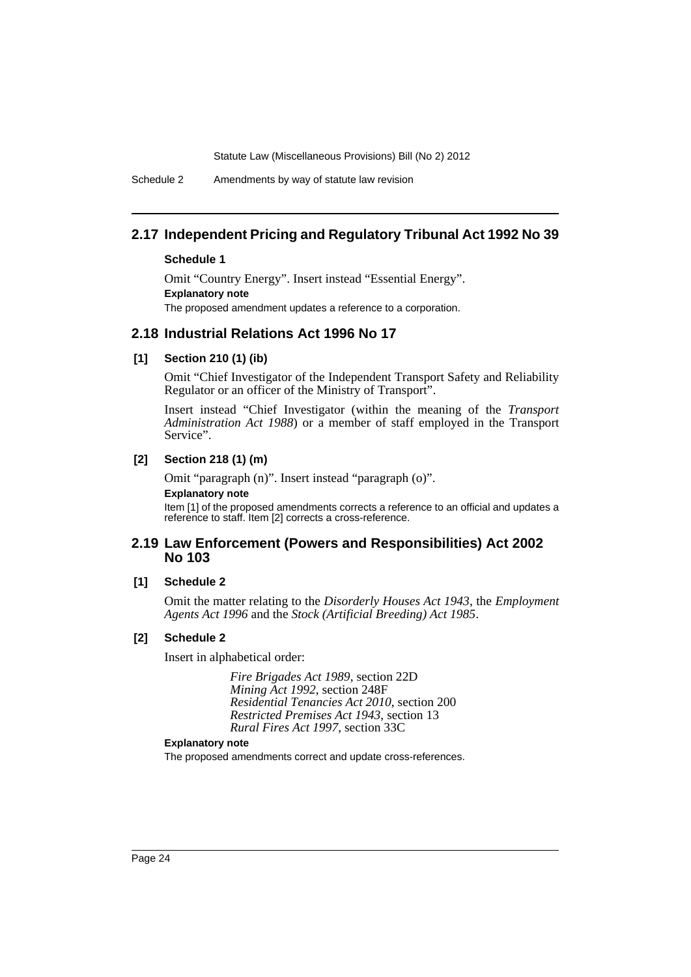Schedule 2 Amendments by way of statute law revision

### **2.17 Independent Pricing and Regulatory Tribunal Act 1992 No 39**

### **Schedule 1**

Omit "Country Energy". Insert instead "Essential Energy". **Explanatory note** The proposed amendment updates a reference to a corporation.

### **2.18 Industrial Relations Act 1996 No 17**

#### **[1] Section 210 (1) (ib)**

Omit "Chief Investigator of the Independent Transport Safety and Reliability Regulator or an officer of the Ministry of Transport".

Insert instead "Chief Investigator (within the meaning of the *Transport Administration Act 1988*) or a member of staff employed in the Transport Service".

#### **[2] Section 218 (1) (m)**

Omit "paragraph (n)". Insert instead "paragraph (o)". **Explanatory note** Item [1] of the proposed amendments corrects a reference to an official and updates a reference to staff. Item [2] corrects a cross-reference.

### **2.19 Law Enforcement (Powers and Responsibilities) Act 2002 No 103**

#### **[1] Schedule 2**

Omit the matter relating to the *Disorderly Houses Act 1943*, the *Employment Agents Act 1996* and the *Stock (Artificial Breeding) Act 1985*.

#### **[2] Schedule 2**

Insert in alphabetical order:

*Fire Brigades Act 1989*, section 22D *Mining Act 1992*, section 248F *Residential Tenancies Act 2010*, section 200 *Restricted Premises Act 1943*, section 13 *Rural Fires Act 1997*, section 33C

### **Explanatory note**

The proposed amendments correct and update cross-references.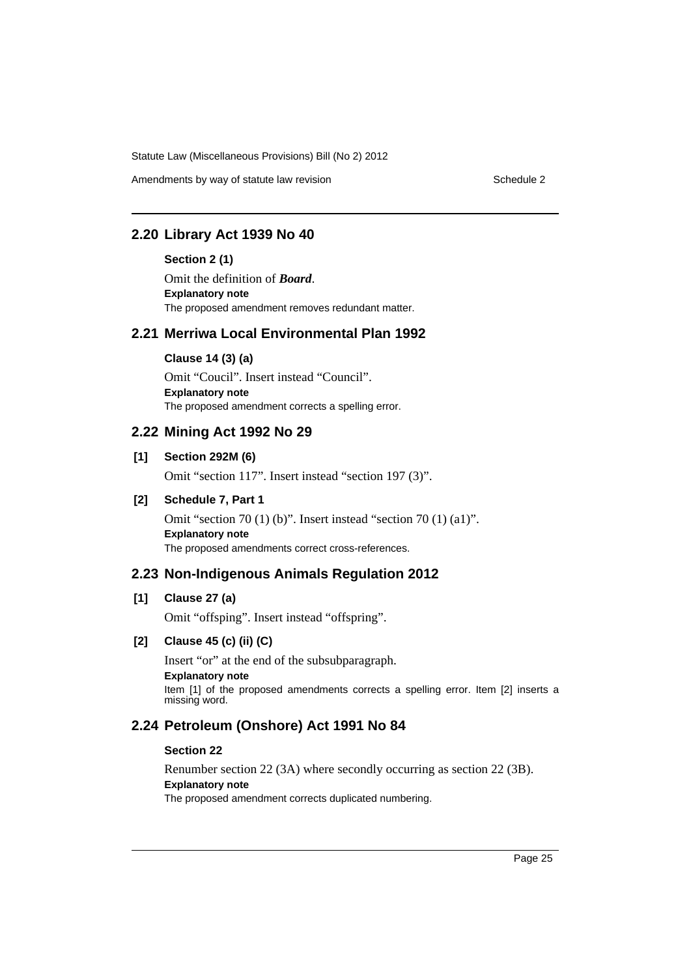Amendments by way of statute law revision example 2

### **2.20 Library Act 1939 No 40**

#### **Section 2 (1)**

Omit the definition of *Board*. **Explanatory note** The proposed amendment removes redundant matter.

### **2.21 Merriwa Local Environmental Plan 1992**

#### **Clause 14 (3) (a)**

Omit "Coucil". Insert instead "Council". **Explanatory note** The proposed amendment corrects a spelling error.

### **2.22 Mining Act 1992 No 29**

### **[1] Section 292M (6)**

Omit "section 117". Insert instead "section 197 (3)".

### **[2] Schedule 7, Part 1**

Omit "section 70 (1) (b)". Insert instead "section 70 (1) (a1)". **Explanatory note** The proposed amendments correct cross-references.

### **2.23 Non-Indigenous Animals Regulation 2012**

### **[1] Clause 27 (a)**

Omit "offsping". Insert instead "offspring".

#### **[2] Clause 45 (c) (ii) (C)**

Insert "or" at the end of the subsubparagraph. **Explanatory note** Item [1] of the proposed amendments corrects a spelling error. Item [2] inserts a missing word.

### **2.24 Petroleum (Onshore) Act 1991 No 84**

#### **Section 22**

Renumber section 22 (3A) where secondly occurring as section 22 (3B). **Explanatory note** The proposed amendment corrects duplicated numbering.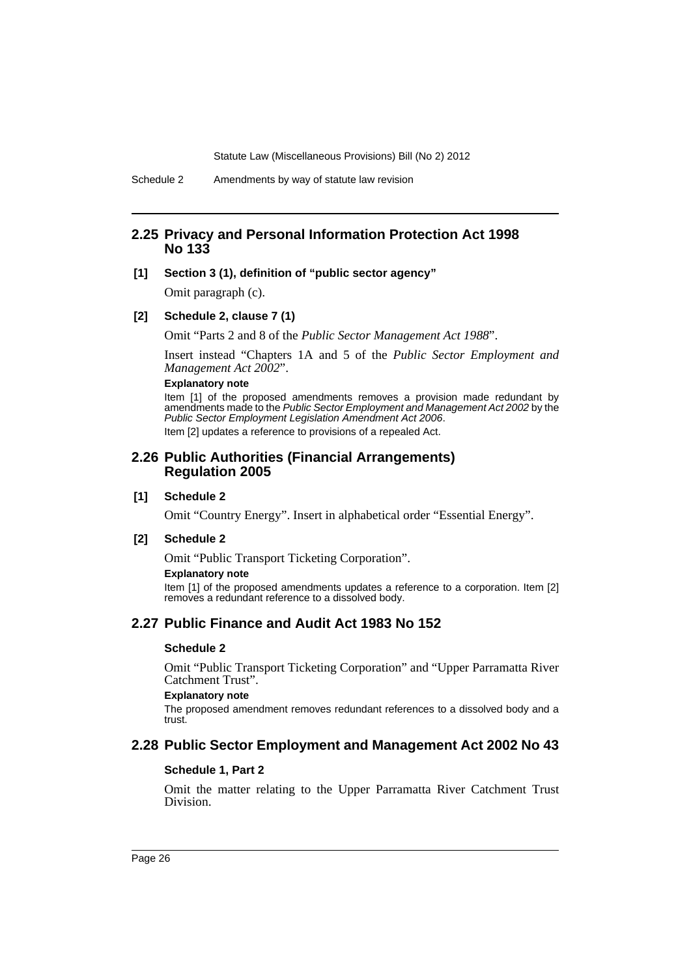### **2.25 Privacy and Personal Information Protection Act 1998 No 133**

### **[1] Section 3 (1), definition of "public sector agency"**

Omit paragraph (c).

#### **[2] Schedule 2, clause 7 (1)**

Omit "Parts 2 and 8 of the *Public Sector Management Act 1988*".

Insert instead "Chapters 1A and 5 of the *Public Sector Employment and Management Act 2002*".

### **Explanatory note**

Item [1] of the proposed amendments removes a provision made redundant by amendments made to the *Public Sector Employment and Management Act 2002* by the *Public Sector Employment Legislation Amendment Act 2006*. Item [2] updates a reference to provisions of a repealed Act.

### **2.26 Public Authorities (Financial Arrangements) Regulation 2005**

#### **[1] Schedule 2**

Omit "Country Energy". Insert in alphabetical order "Essential Energy".

#### **[2] Schedule 2**

Omit "Public Transport Ticketing Corporation".

#### **Explanatory note**

Item [1] of the proposed amendments updates a reference to a corporation. Item [2] removes a redundant reference to a dissolved body.

### **2.27 Public Finance and Audit Act 1983 No 152**

#### **Schedule 2**

Omit "Public Transport Ticketing Corporation" and "Upper Parramatta River Catchment Trust".

#### **Explanatory note**

The proposed amendment removes redundant references to a dissolved body and a trust.

### **2.28 Public Sector Employment and Management Act 2002 No 43**

### **Schedule 1, Part 2**

Omit the matter relating to the Upper Parramatta River Catchment Trust Division.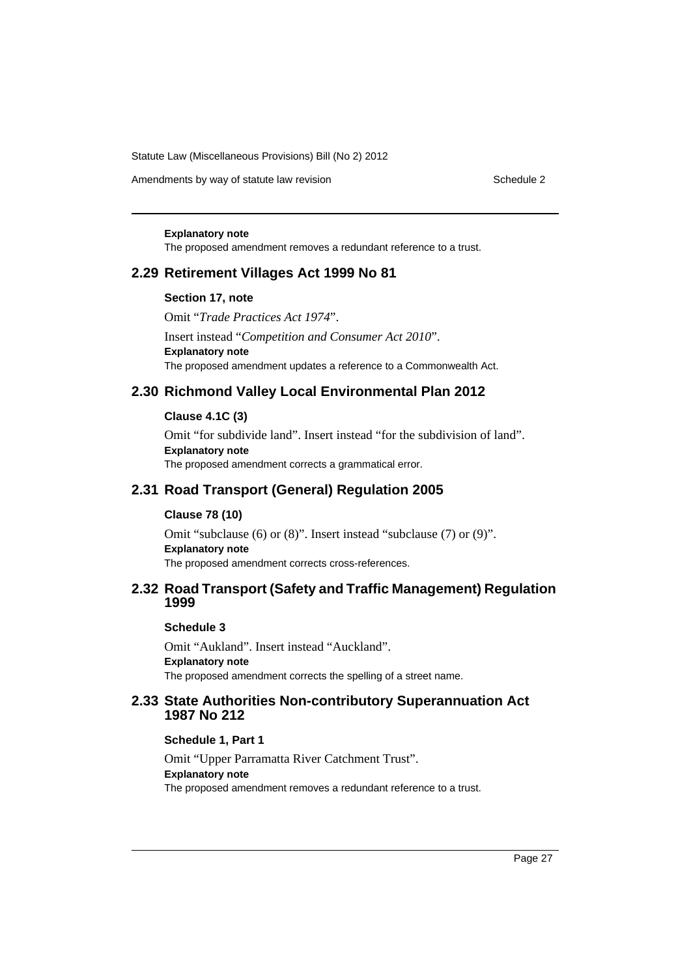Amendments by way of statute law revision example 2

#### **Explanatory note**

The proposed amendment removes a redundant reference to a trust.

### **2.29 Retirement Villages Act 1999 No 81**

#### **Section 17, note**

Omit "*Trade Practices Act 1974*". Insert instead "*Competition and Consumer Act 2010*". **Explanatory note** The proposed amendment updates a reference to a Commonwealth Act.

### **2.30 Richmond Valley Local Environmental Plan 2012**

#### **Clause 4.1C (3)**

Omit "for subdivide land". Insert instead "for the subdivision of land". **Explanatory note** The proposed amendment corrects a grammatical error.

### **2.31 Road Transport (General) Regulation 2005**

#### **Clause 78 (10)**

Omit "subclause (6) or (8)". Insert instead "subclause (7) or (9)". **Explanatory note** The proposed amendment corrects cross-references.

### **2.32 Road Transport (Safety and Traffic Management) Regulation 1999**

#### **Schedule 3**

Omit "Aukland". Insert instead "Auckland". **Explanatory note** The proposed amendment corrects the spelling of a street name.

### **2.33 State Authorities Non-contributory Superannuation Act 1987 No 212**

#### **Schedule 1, Part 1**

Omit "Upper Parramatta River Catchment Trust". **Explanatory note** The proposed amendment removes a redundant reference to a trust.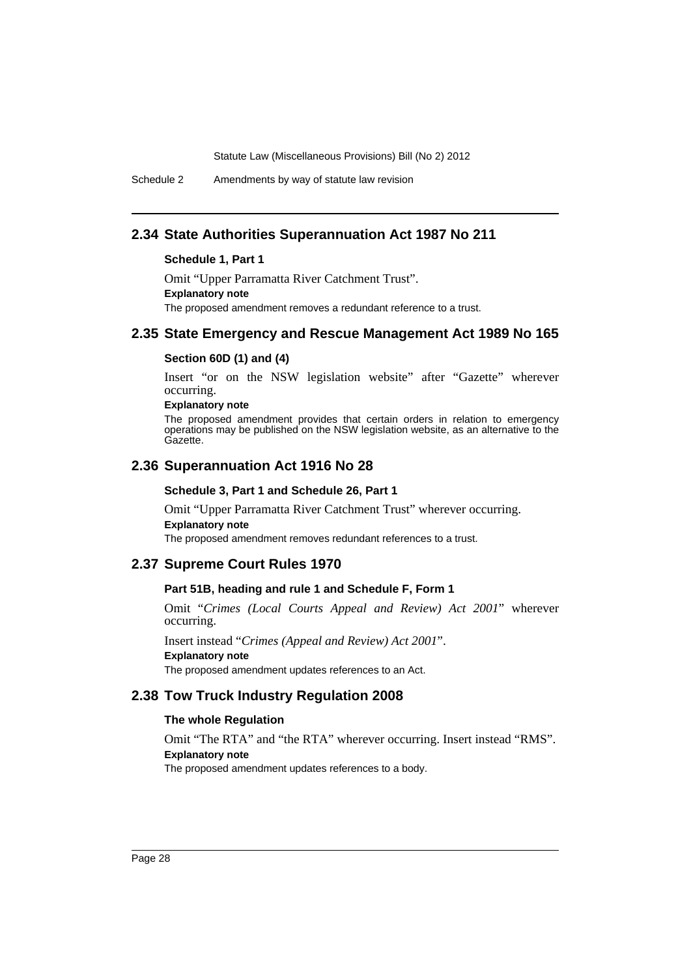Schedule 2 Amendments by way of statute law revision

### **2.34 State Authorities Superannuation Act 1987 No 211**

#### **Schedule 1, Part 1**

Omit "Upper Parramatta River Catchment Trust". **Explanatory note** The proposed amendment removes a redundant reference to a trust.

### **2.35 State Emergency and Rescue Management Act 1989 No 165**

#### **Section 60D (1) and (4)**

Insert "or on the NSW legislation website" after "Gazette" wherever occurring.

### **Explanatory note**

The proposed amendment provides that certain orders in relation to emergency operations may be published on the NSW legislation website, as an alternative to the Gazette.

### **2.36 Superannuation Act 1916 No 28**

#### **Schedule 3, Part 1 and Schedule 26, Part 1**

Omit "Upper Parramatta River Catchment Trust" wherever occurring. **Explanatory note**

The proposed amendment removes redundant references to a trust.

### **2.37 Supreme Court Rules 1970**

### **Part 51B, heading and rule 1 and Schedule F, Form 1**

Omit "*Crimes (Local Courts Appeal and Review) Act 2001*" wherever occurring.

Insert instead "*Crimes (Appeal and Review) Act 2001*". **Explanatory note** The proposed amendment updates references to an Act.

### **2.38 Tow Truck Industry Regulation 2008**

#### **The whole Regulation**

Omit "The RTA" and "the RTA" wherever occurring. Insert instead "RMS". **Explanatory note** The proposed amendment updates references to a body.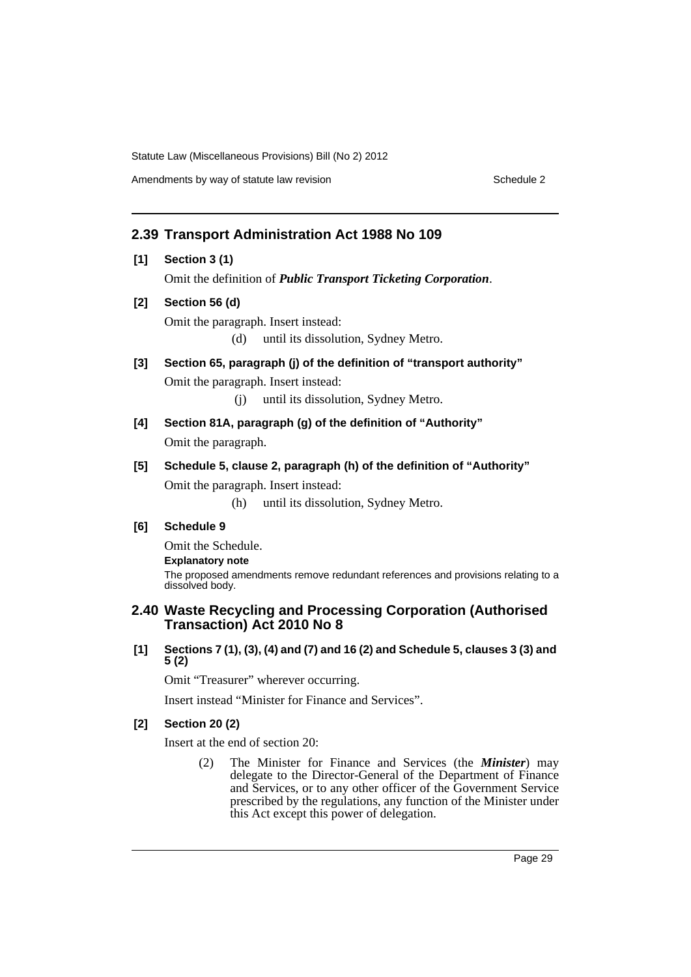Amendments by way of statute law revision example 2

### **2.39 Transport Administration Act 1988 No 109**

- **[1] Section 3 (1)** Omit the definition of *Public Transport Ticketing Corporation*.
- **[2] Section 56 (d)** Omit the paragraph. Insert instead:

(d) until its dissolution, Sydney Metro.

**[3] Section 65, paragraph (j) of the definition of "transport authority"** Omit the paragraph. Insert instead:

(j) until its dissolution, Sydney Metro.

- **[4] Section 81A, paragraph (g) of the definition of "Authority"** Omit the paragraph.
- **[5] Schedule 5, clause 2, paragraph (h) of the definition of "Authority"** Omit the paragraph. Insert instead:

(h) until its dissolution, Sydney Metro.

### **[6] Schedule 9**

Omit the Schedule. **Explanatory note** The proposed amendments remove redundant references and provisions relating to a dissolved body.

### **2.40 Waste Recycling and Processing Corporation (Authorised Transaction) Act 2010 No 8**

**[1] Sections 7 (1), (3), (4) and (7) and 16 (2) and Schedule 5, clauses 3 (3) and 5 (2)**

Omit "Treasurer" wherever occurring.

Insert instead "Minister for Finance and Services".

### **[2] Section 20 (2)**

Insert at the end of section 20:

(2) The Minister for Finance and Services (the *Minister*) may delegate to the Director-General of the Department of Finance and Services, or to any other officer of the Government Service prescribed by the regulations, any function of the Minister under this Act except this power of delegation.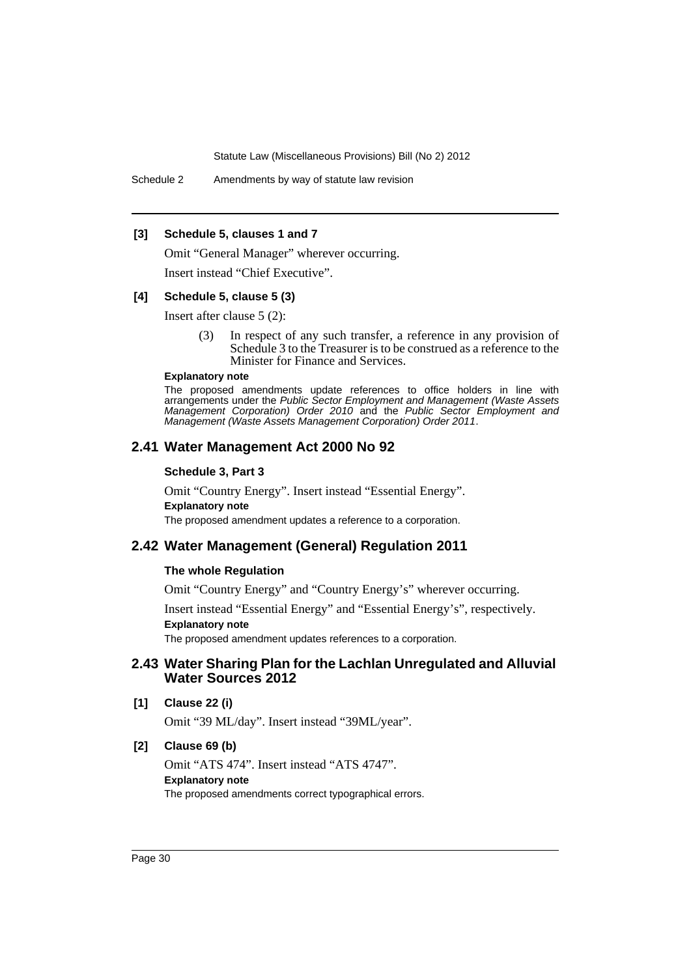Schedule 2 Amendments by way of statute law revision

#### **[3] Schedule 5, clauses 1 and 7**

Omit "General Manager" wherever occurring.

Insert instead "Chief Executive".

#### **[4] Schedule 5, clause 5 (3)**

Insert after clause 5 (2):

(3) In respect of any such transfer, a reference in any provision of Schedule 3 to the Treasurer is to be construed as a reference to the Minister for Finance and Services.

#### **Explanatory note**

The proposed amendments update references to office holders in line with arrangements under the *Public Sector Employment and Management (Waste Assets Management Corporation) Order 2010* and the *Public Sector Employment and Management (Waste Assets Management Corporation) Order 2011*.

### **2.41 Water Management Act 2000 No 92**

#### **Schedule 3, Part 3**

Omit "Country Energy". Insert instead "Essential Energy". **Explanatory note** The proposed amendment updates a reference to a corporation.

## **2.42 Water Management (General) Regulation 2011**

#### **The whole Regulation**

Omit "Country Energy" and "Country Energy's" wherever occurring.

Insert instead "Essential Energy" and "Essential Energy's", respectively. **Explanatory note**

The proposed amendment updates references to a corporation.

### **2.43 Water Sharing Plan for the Lachlan Unregulated and Alluvial Water Sources 2012**

#### **[1] Clause 22 (i)**

Omit "39 ML/day". Insert instead "39ML/year".

### **[2] Clause 69 (b)**

Omit "ATS 474". Insert instead "ATS 4747". **Explanatory note** The proposed amendments correct typographical errors.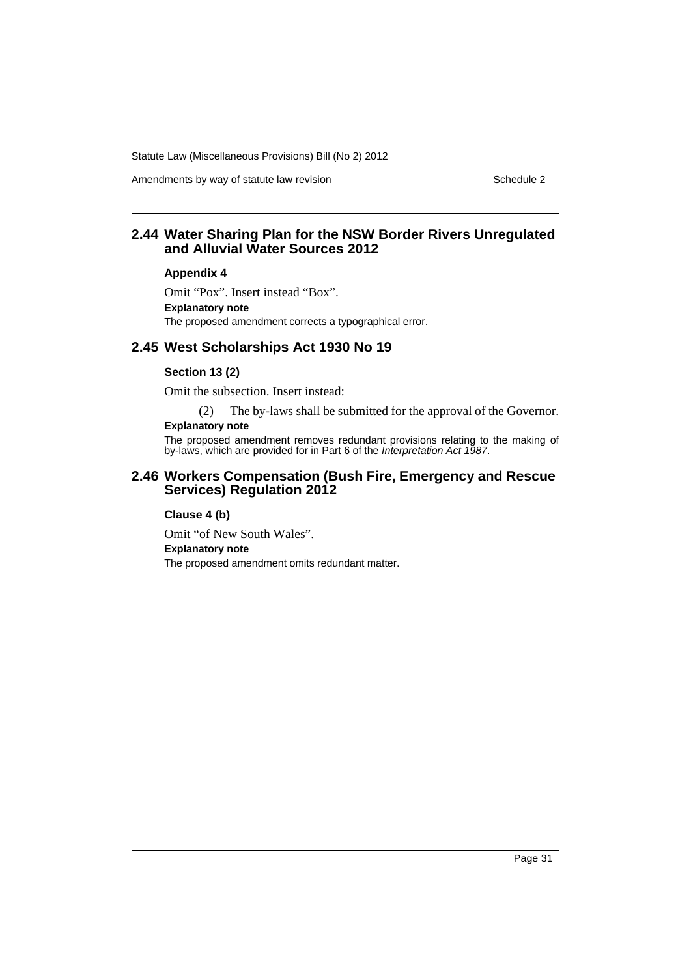Amendments by way of statute law revision example 2

### **2.44 Water Sharing Plan for the NSW Border Rivers Unregulated and Alluvial Water Sources 2012**

#### **Appendix 4**

Omit "Pox". Insert instead "Box". **Explanatory note** The proposed amendment corrects a typographical error.

### **2.45 West Scholarships Act 1930 No 19**

### **Section 13 (2)**

Omit the subsection. Insert instead:

(2) The by-laws shall be submitted for the approval of the Governor.

### **Explanatory note**

The proposed amendment removes redundant provisions relating to the making of by-laws, which are provided for in Part 6 of the *Interpretation Act 1987*.

### **2.46 Workers Compensation (Bush Fire, Emergency and Rescue Services) Regulation 2012**

#### **Clause 4 (b)**

Omit "of New South Wales". **Explanatory note** The proposed amendment omits redundant matter.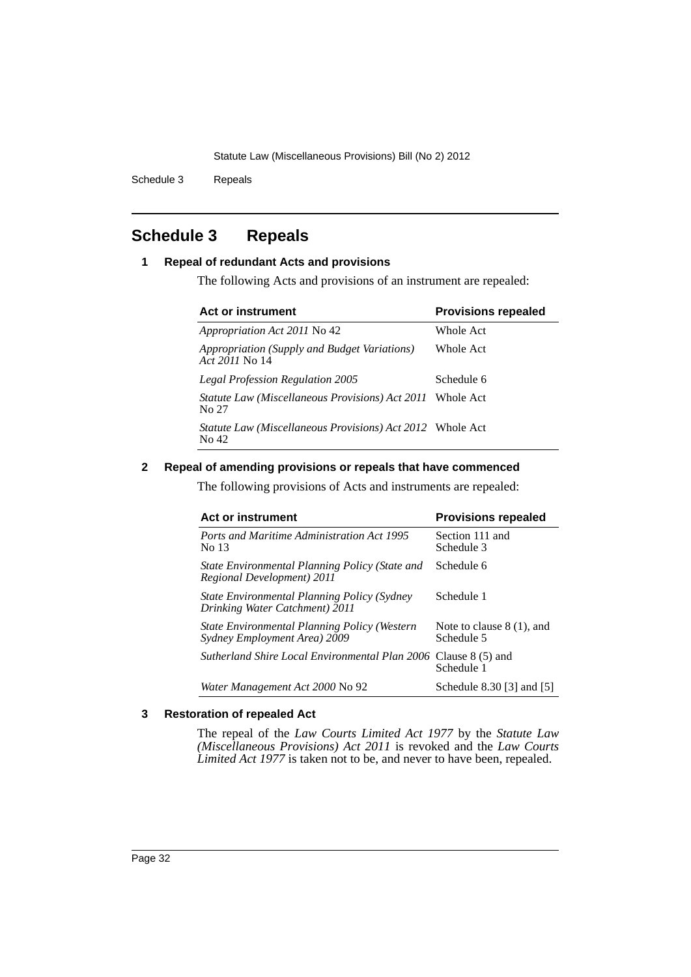Schedule 3 Repeals

## <span id="page-33-0"></span>**Schedule 3 Repeals**

### **1 Repeal of redundant Acts and provisions**

The following Acts and provisions of an instrument are repealed:

| Act or instrument                                                          | <b>Provisions repealed</b> |  |
|----------------------------------------------------------------------------|----------------------------|--|
| <i>Appropriation Act 2011</i> No 42                                        | Whole Act                  |  |
| Appropriation (Supply and Budget Variations)<br>Act 2011 No. 14            | Whole Act                  |  |
| <b>Legal Profession Regulation 2005</b>                                    | Schedule 6                 |  |
| <i>Statute Law (Miscellaneous Provisions) Act 2011</i> Whole Act<br>No 27  |                            |  |
| <i>Statute Law (Miscellaneous Provisions) Act 2012</i> Whole Act<br>No. 42 |                            |  |

### **2 Repeal of amending provisions or repeals that have commenced**

The following provisions of Acts and instruments are repealed:

| <b>Act or instrument</b>                                                      | <b>Provisions repealed</b>                |  |
|-------------------------------------------------------------------------------|-------------------------------------------|--|
| <b>Ports and Maritime Administration Act 1995</b><br>No 13                    | Section 111 and<br>Schedule 3             |  |
| State Environmental Planning Policy (State and<br>Regional Development) 2011  | Schedule 6                                |  |
| State Environmental Planning Policy (Sydney<br>Drinking Water Catchment) 2011 | Schedule 1                                |  |
| State Environmental Planning Policy (Western<br>Sydney Employment Area) 2009  | Note to clause $8(1)$ , and<br>Schedule 5 |  |
| <i>Sutherland Shire Local Environmental Plan 2006</i> Clause 8 (5) and        | Schedule 1                                |  |
| Water Management Act 2000 No 92                                               | Schedule 8.30 [3] and [5]                 |  |

### **3 Restoration of repealed Act**

The repeal of the *Law Courts Limited Act 1977* by the *Statute Law (Miscellaneous Provisions) Act 2011* is revoked and the *Law Courts Limited Act 1977* is taken not to be, and never to have been, repealed.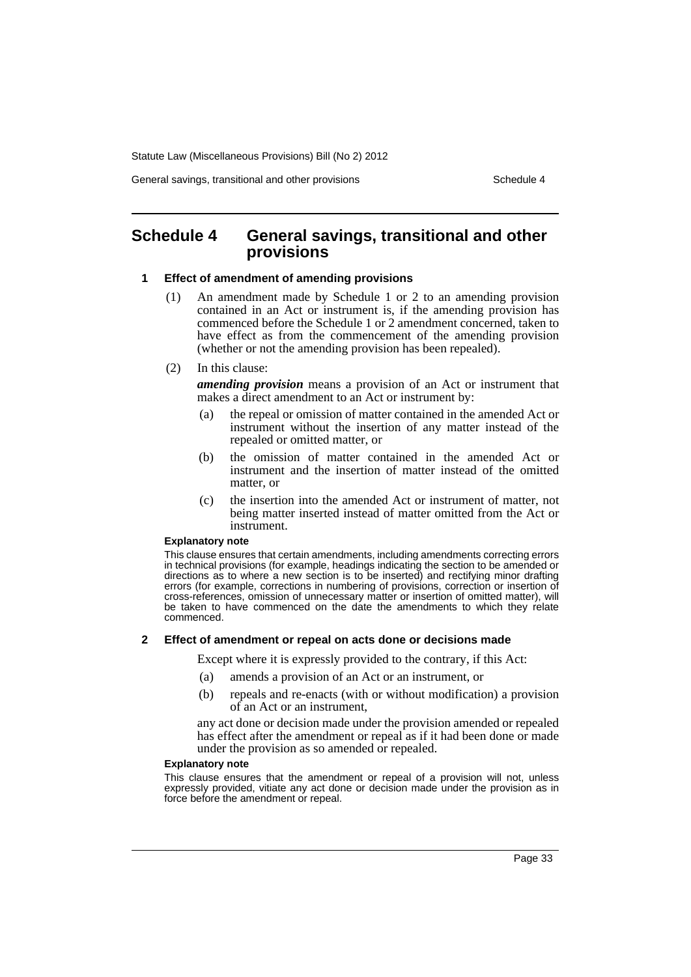General savings, transitional and other provisions Schedule 4

### <span id="page-34-0"></span>**Schedule 4 General savings, transitional and other provisions**

#### **1 Effect of amendment of amending provisions**

- (1) An amendment made by Schedule 1 or 2 to an amending provision contained in an Act or instrument is, if the amending provision has commenced before the Schedule 1 or 2 amendment concerned, taken to have effect as from the commencement of the amending provision (whether or not the amending provision has been repealed).
- (2) In this clause:

*amending provision* means a provision of an Act or instrument that makes a direct amendment to an Act or instrument by:

- (a) the repeal or omission of matter contained in the amended Act or instrument without the insertion of any matter instead of the repealed or omitted matter, or
- (b) the omission of matter contained in the amended Act or instrument and the insertion of matter instead of the omitted matter, or
- (c) the insertion into the amended Act or instrument of matter, not being matter inserted instead of matter omitted from the Act or instrument.

#### **Explanatory note**

This clause ensures that certain amendments, including amendments correcting errors in technical provisions (for example, headings indicating the section to be amended or directions as to where a new section is to be inserted) and rectifying minor drafting errors (for example, corrections in numbering of provisions, correction or insertion of cross-references, omission of unnecessary matter or insertion of omitted matter), will be taken to have commenced on the date the amendments to which they relate commenced.

#### **2 Effect of amendment or repeal on acts done or decisions made**

Except where it is expressly provided to the contrary, if this Act:

- (a) amends a provision of an Act or an instrument, or
- (b) repeals and re-enacts (with or without modification) a provision of an Act or an instrument,

any act done or decision made under the provision amended or repealed has effect after the amendment or repeal as if it had been done or made under the provision as so amended or repealed.

#### **Explanatory note**

This clause ensures that the amendment or repeal of a provision will not, unless expressly provided, vitiate any act done or decision made under the provision as in force before the amendment or repeal.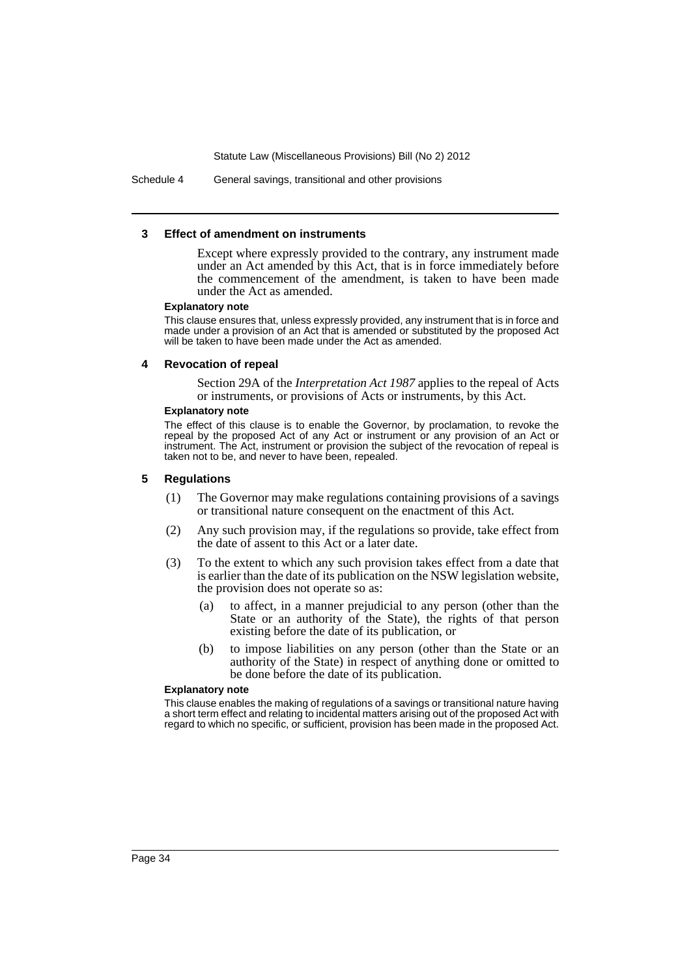Schedule 4 General savings, transitional and other provisions

#### **3 Effect of amendment on instruments**

Except where expressly provided to the contrary, any instrument made under an Act amended by this Act, that is in force immediately before the commencement of the amendment, is taken to have been made under the Act as amended.

#### **Explanatory note**

This clause ensures that, unless expressly provided, any instrument that is in force and made under a provision of an Act that is amended or substituted by the proposed Act will be taken to have been made under the Act as amended.

#### **4 Revocation of repeal**

Section 29A of the *Interpretation Act 1987* applies to the repeal of Acts or instruments, or provisions of Acts or instruments, by this Act.

#### **Explanatory note**

The effect of this clause is to enable the Governor, by proclamation, to revoke the repeal by the proposed Act of any Act or instrument or any provision of an Act or instrument. The Act, instrument or provision the subject of the revocation of repeal is taken not to be, and never to have been, repealed.

#### **5 Regulations**

- (1) The Governor may make regulations containing provisions of a savings or transitional nature consequent on the enactment of this Act.
- (2) Any such provision may, if the regulations so provide, take effect from the date of assent to this Act or a later date.
- (3) To the extent to which any such provision takes effect from a date that is earlier than the date of its publication on the NSW legislation website, the provision does not operate so as:
	- (a) to affect, in a manner prejudicial to any person (other than the State or an authority of the State), the rights of that person existing before the date of its publication, or
	- (b) to impose liabilities on any person (other than the State or an authority of the State) in respect of anything done or omitted to be done before the date of its publication.

#### **Explanatory note**

This clause enables the making of regulations of a savings or transitional nature having a short term effect and relating to incidental matters arising out of the proposed Act with regard to which no specific, or sufficient, provision has been made in the proposed Act.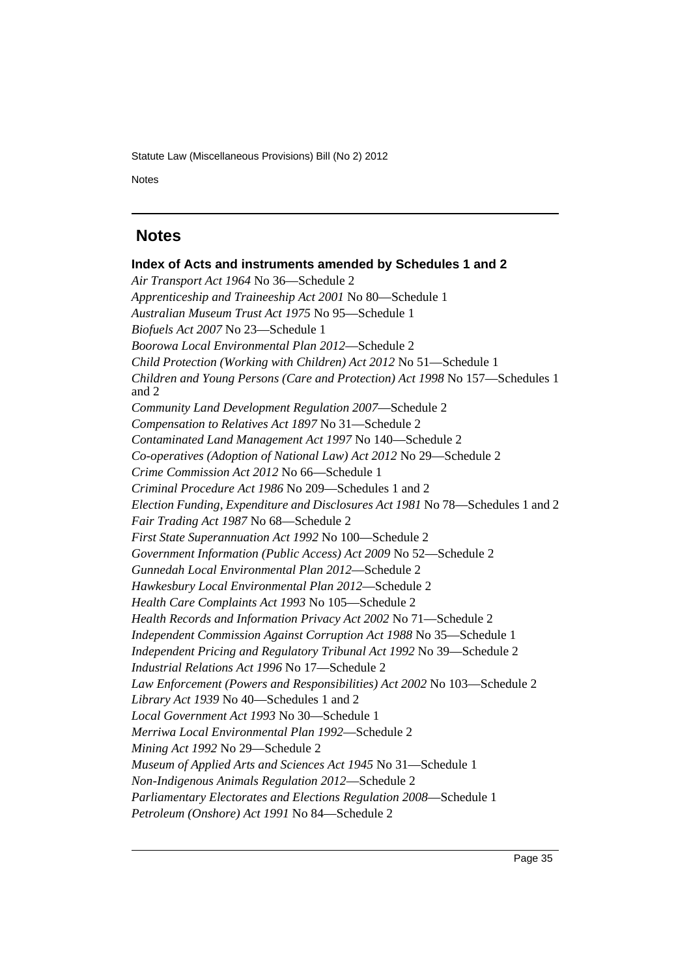Notes

### <span id="page-36-0"></span> **Notes**

**Index of Acts and instruments amended by Schedules 1 and 2** *Air Transport Act 1964* No 36—Schedule 2 *Apprenticeship and Traineeship Act 2001* No 80—Schedule 1 *Australian Museum Trust Act 1975* No 95—Schedule 1 *Biofuels Act 2007* No 23—Schedule 1 *Boorowa Local Environmental Plan 2012*—Schedule 2 *Child Protection (Working with Children) Act 2012* No 51—Schedule 1 *Children and Young Persons (Care and Protection) Act 1998* No 157—Schedules 1 and 2 *Community Land Development Regulation 2007*—Schedule 2 *Compensation to Relatives Act 1897* No 31—Schedule 2 *Contaminated Land Management Act 1997* No 140—Schedule 2 *Co-operatives (Adoption of National Law) Act 2012* No 29—Schedule 2 *Crime Commission Act 2012* No 66—Schedule 1 *Criminal Procedure Act 1986* No 209—Schedules 1 and 2 *Election Funding, Expenditure and Disclosures Act 1981* No 78—Schedules 1 and 2 *Fair Trading Act 1987* No 68—Schedule 2 *First State Superannuation Act 1992* No 100—Schedule 2 *Government Information (Public Access) Act 2009* No 52—Schedule 2 *Gunnedah Local Environmental Plan 2012*—Schedule 2 *Hawkesbury Local Environmental Plan 2012*—Schedule 2 *Health Care Complaints Act 1993* No 105—Schedule 2 *Health Records and Information Privacy Act 2002* No 71—Schedule 2 *Independent Commission Against Corruption Act 1988* No 35—Schedule 1 *Independent Pricing and Regulatory Tribunal Act 1992* No 39—Schedule 2 *Industrial Relations Act 1996* No 17—Schedule 2 *Law Enforcement (Powers and Responsibilities) Act 2002* No 103—Schedule 2 *Library Act 1939* No 40—Schedules 1 and 2 *Local Government Act 1993* No 30—Schedule 1 *Merriwa Local Environmental Plan 1992*—Schedule 2 *Mining Act 1992* No 29—Schedule 2 *Museum of Applied Arts and Sciences Act 1945* No 31—Schedule 1 *Non-Indigenous Animals Regulation 2012*—Schedule 2 *Parliamentary Electorates and Elections Regulation 2008*—Schedule 1 *Petroleum (Onshore) Act 1991* No 84—Schedule 2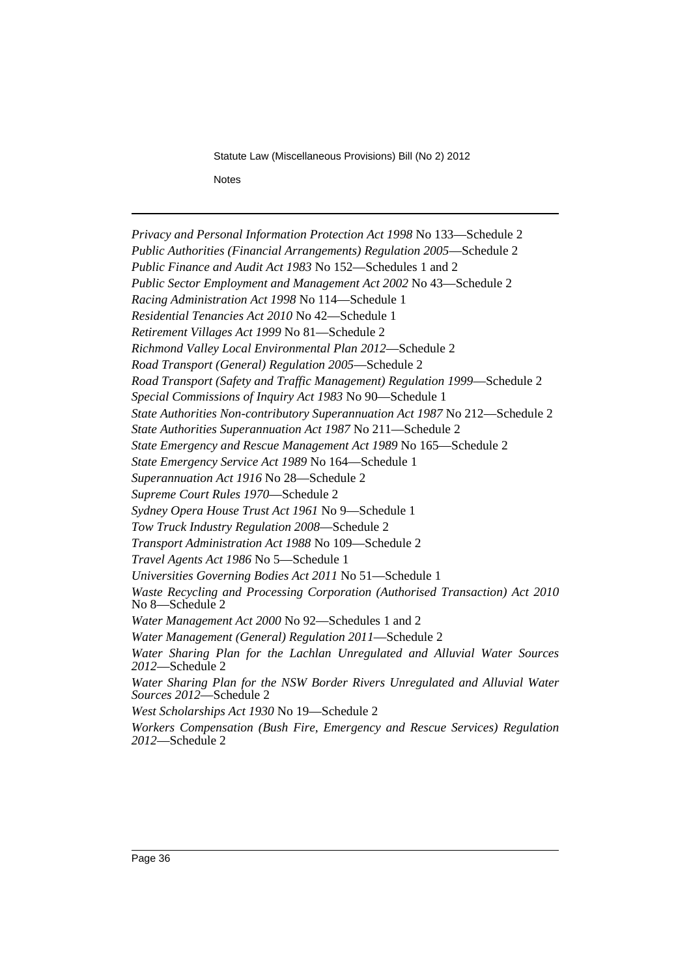*Privacy and Personal Information Protection Act 1998* No 133—Schedule 2 *Public Authorities (Financial Arrangements) Regulation 2005*—Schedule 2 *Public Finance and Audit Act 1983* No 152—Schedules 1 and 2 *Public Sector Employment and Management Act 2002* No 43—Schedule 2 *Racing Administration Act 1998* No 114—Schedule 1 *Residential Tenancies Act 2010* No 42—Schedule 1 *Retirement Villages Act 1999* No 81—Schedule 2 *Richmond Valley Local Environmental Plan 2012*—Schedule 2 *Road Transport (General) Regulation 2005*—Schedule 2 *Road Transport (Safety and Traffic Management) Regulation 1999*—Schedule 2 *Special Commissions of Inquiry Act 1983* No 90—Schedule 1 *State Authorities Non-contributory Superannuation Act 1987* No 212—Schedule 2 *State Authorities Superannuation Act 1987* No 211—Schedule 2 *State Emergency and Rescue Management Act 1989* No 165—Schedule 2 *State Emergency Service Act 1989* No 164—Schedule 1 *Superannuation Act 1916* No 28—Schedule 2 *Supreme Court Rules 1970*—Schedule 2 *Sydney Opera House Trust Act 1961* No 9—Schedule 1 *Tow Truck Industry Regulation 2008*—Schedule 2 *Transport Administration Act 1988* No 109—Schedule 2 *Travel Agents Act 1986* No 5—Schedule 1 *Universities Governing Bodies Act 2011* No 51—Schedule 1 *Waste Recycling and Processing Corporation (Authorised Transaction) Act 2010* No 8—Schedule 2 *Water Management Act 2000* No 92—Schedules 1 and 2 *Water Management (General) Regulation 2011*—Schedule 2 *Water Sharing Plan for the Lachlan Unregulated and Alluvial Water Sources 2012*—Schedule 2 *Water Sharing Plan for the NSW Border Rivers Unregulated and Alluvial Water Sources 2012*—Schedule 2 *West Scholarships Act 1930* No 19—Schedule 2 *Workers Compensation (Bush Fire, Emergency and Rescue Services) Regulation 2012*—Schedule 2